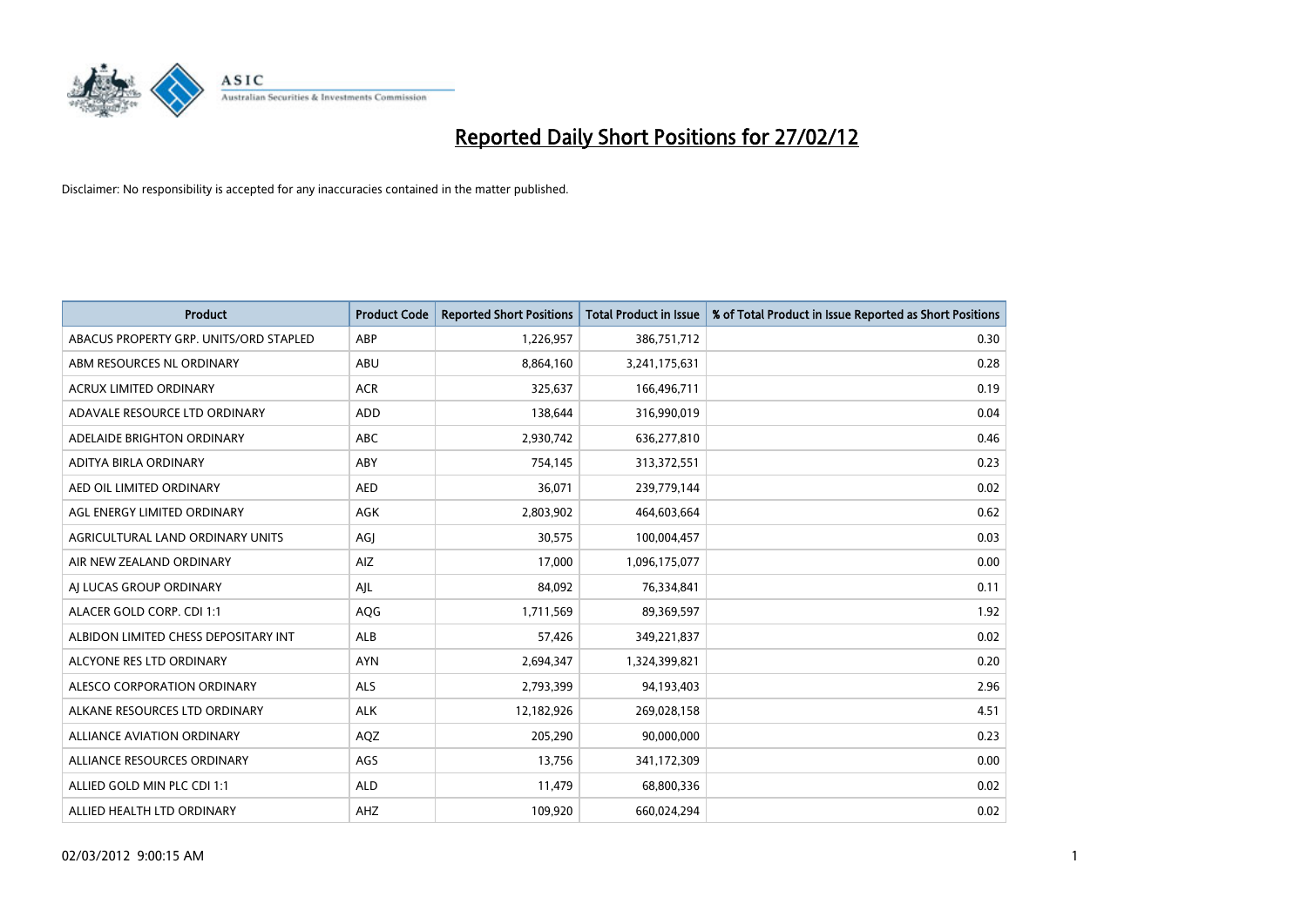

| <b>Product</b>                         | <b>Product Code</b> | <b>Reported Short Positions</b> | <b>Total Product in Issue</b> | % of Total Product in Issue Reported as Short Positions |
|----------------------------------------|---------------------|---------------------------------|-------------------------------|---------------------------------------------------------|
| ABACUS PROPERTY GRP. UNITS/ORD STAPLED | ABP                 | 1,226,957                       | 386,751,712                   | 0.30                                                    |
| ABM RESOURCES NL ORDINARY              | ABU                 | 8,864,160                       | 3,241,175,631                 | 0.28                                                    |
| <b>ACRUX LIMITED ORDINARY</b>          | <b>ACR</b>          | 325,637                         | 166,496,711                   | 0.19                                                    |
| ADAVALE RESOURCE LTD ORDINARY          | <b>ADD</b>          | 138,644                         | 316,990,019                   | 0.04                                                    |
| ADELAIDE BRIGHTON ORDINARY             | <b>ABC</b>          | 2,930,742                       | 636,277,810                   | 0.46                                                    |
| ADITYA BIRLA ORDINARY                  | ABY                 | 754,145                         | 313,372,551                   | 0.23                                                    |
| AED OIL LIMITED ORDINARY               | <b>AED</b>          | 36,071                          | 239,779,144                   | 0.02                                                    |
| AGL ENERGY LIMITED ORDINARY            | AGK                 | 2,803,902                       | 464,603,664                   | 0.62                                                    |
| AGRICULTURAL LAND ORDINARY UNITS       | AGJ                 | 30,575                          | 100,004,457                   | 0.03                                                    |
| AIR NEW ZEALAND ORDINARY               | AIZ                 | 17,000                          | 1,096,175,077                 | 0.00                                                    |
| AJ LUCAS GROUP ORDINARY                | AJL                 | 84,092                          | 76,334,841                    | 0.11                                                    |
| ALACER GOLD CORP. CDI 1:1              | AQG                 | 1,711,569                       | 89,369,597                    | 1.92                                                    |
| ALBIDON LIMITED CHESS DEPOSITARY INT   | <b>ALB</b>          | 57,426                          | 349,221,837                   | 0.02                                                    |
| ALCYONE RES LTD ORDINARY               | <b>AYN</b>          | 2,694,347                       | 1,324,399,821                 | 0.20                                                    |
| ALESCO CORPORATION ORDINARY            | ALS                 | 2,793,399                       | 94,193,403                    | 2.96                                                    |
| ALKANE RESOURCES LTD ORDINARY          | <b>ALK</b>          | 12,182,926                      | 269,028,158                   | 4.51                                                    |
| ALLIANCE AVIATION ORDINARY             | AQZ                 | 205,290                         | 90,000,000                    | 0.23                                                    |
| ALLIANCE RESOURCES ORDINARY            | AGS                 | 13,756                          | 341,172,309                   | 0.00                                                    |
| ALLIED GOLD MIN PLC CDI 1:1            | <b>ALD</b>          | 11,479                          | 68,800,336                    | 0.02                                                    |
| ALLIED HEALTH LTD ORDINARY             | AHZ                 | 109,920                         | 660,024,294                   | 0.02                                                    |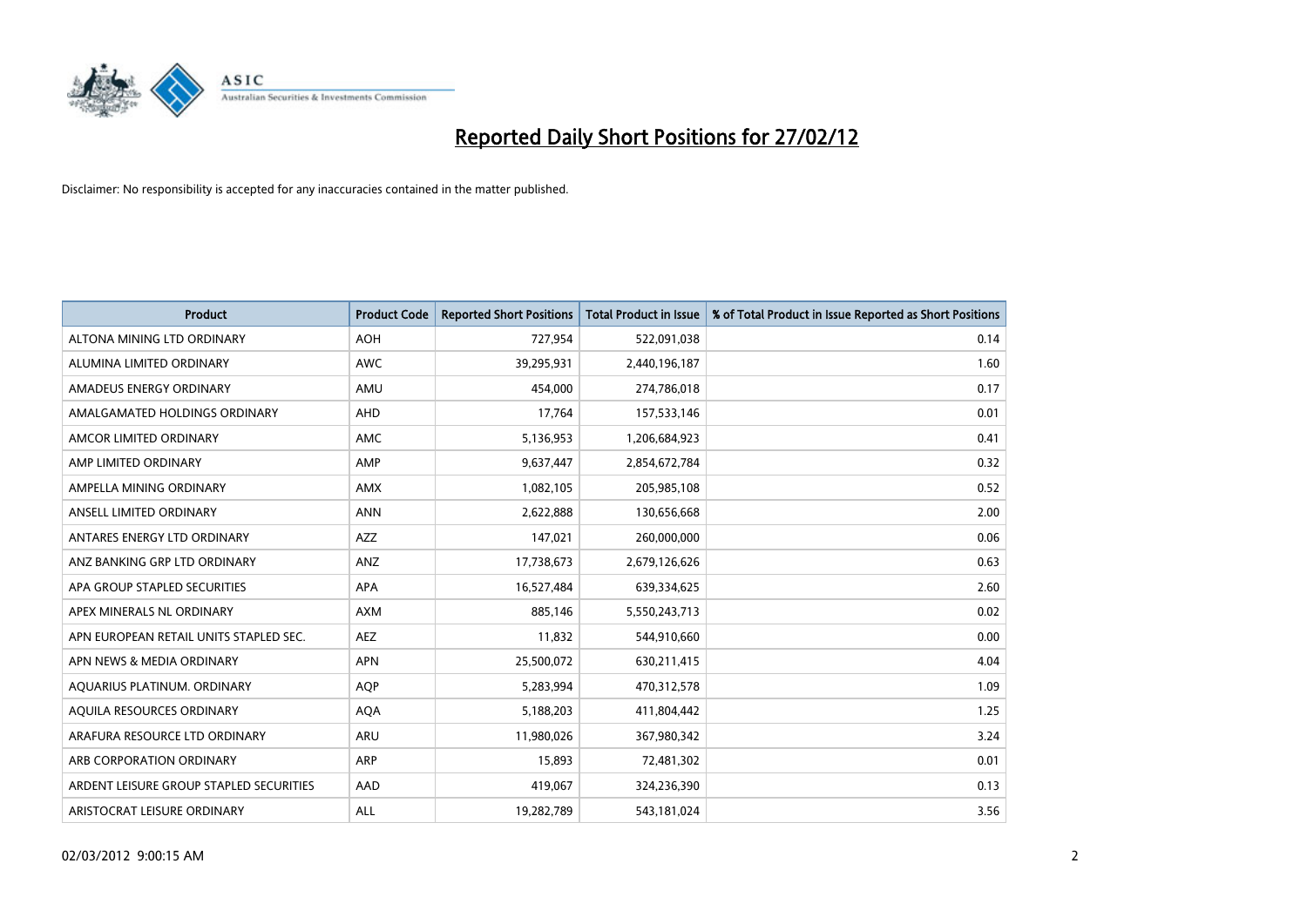

| Product                                 | <b>Product Code</b> | <b>Reported Short Positions</b> | <b>Total Product in Issue</b> | % of Total Product in Issue Reported as Short Positions |
|-----------------------------------------|---------------------|---------------------------------|-------------------------------|---------------------------------------------------------|
| ALTONA MINING LTD ORDINARY              | <b>AOH</b>          | 727,954                         | 522,091,038                   | 0.14                                                    |
| ALUMINA LIMITED ORDINARY                | <b>AWC</b>          | 39,295,931                      | 2,440,196,187                 | 1.60                                                    |
| AMADEUS ENERGY ORDINARY                 | AMU                 | 454,000                         | 274,786,018                   | 0.17                                                    |
| AMALGAMATED HOLDINGS ORDINARY           | <b>AHD</b>          | 17,764                          | 157,533,146                   | 0.01                                                    |
| AMCOR LIMITED ORDINARY                  | AMC                 | 5,136,953                       | 1,206,684,923                 | 0.41                                                    |
| AMP LIMITED ORDINARY                    | AMP                 | 9,637,447                       | 2,854,672,784                 | 0.32                                                    |
| AMPELLA MINING ORDINARY                 | <b>AMX</b>          | 1,082,105                       | 205,985,108                   | 0.52                                                    |
| ANSELL LIMITED ORDINARY                 | <b>ANN</b>          | 2,622,888                       | 130,656,668                   | 2.00                                                    |
| ANTARES ENERGY LTD ORDINARY             | AZZ                 | 147,021                         | 260,000,000                   | 0.06                                                    |
| ANZ BANKING GRP LTD ORDINARY            | ANZ                 | 17,738,673                      | 2,679,126,626                 | 0.63                                                    |
| APA GROUP STAPLED SECURITIES            | APA                 | 16,527,484                      | 639,334,625                   | 2.60                                                    |
| APEX MINERALS NL ORDINARY               | AXM                 | 885,146                         | 5,550,243,713                 | 0.02                                                    |
| APN EUROPEAN RETAIL UNITS STAPLED SEC.  | <b>AEZ</b>          | 11,832                          | 544,910,660                   | 0.00                                                    |
| APN NEWS & MEDIA ORDINARY               | <b>APN</b>          | 25,500,072                      | 630,211,415                   | 4.04                                                    |
| AQUARIUS PLATINUM. ORDINARY             | <b>AOP</b>          | 5,283,994                       | 470,312,578                   | 1.09                                                    |
| AQUILA RESOURCES ORDINARY               | <b>AQA</b>          | 5,188,203                       | 411,804,442                   | 1.25                                                    |
| ARAFURA RESOURCE LTD ORDINARY           | ARU                 | 11,980,026                      | 367,980,342                   | 3.24                                                    |
| ARB CORPORATION ORDINARY                | ARP                 | 15,893                          | 72,481,302                    | 0.01                                                    |
| ARDENT LEISURE GROUP STAPLED SECURITIES | AAD                 | 419,067                         | 324,236,390                   | 0.13                                                    |
| ARISTOCRAT LEISURE ORDINARY             | ALL                 | 19,282,789                      | 543,181,024                   | 3.56                                                    |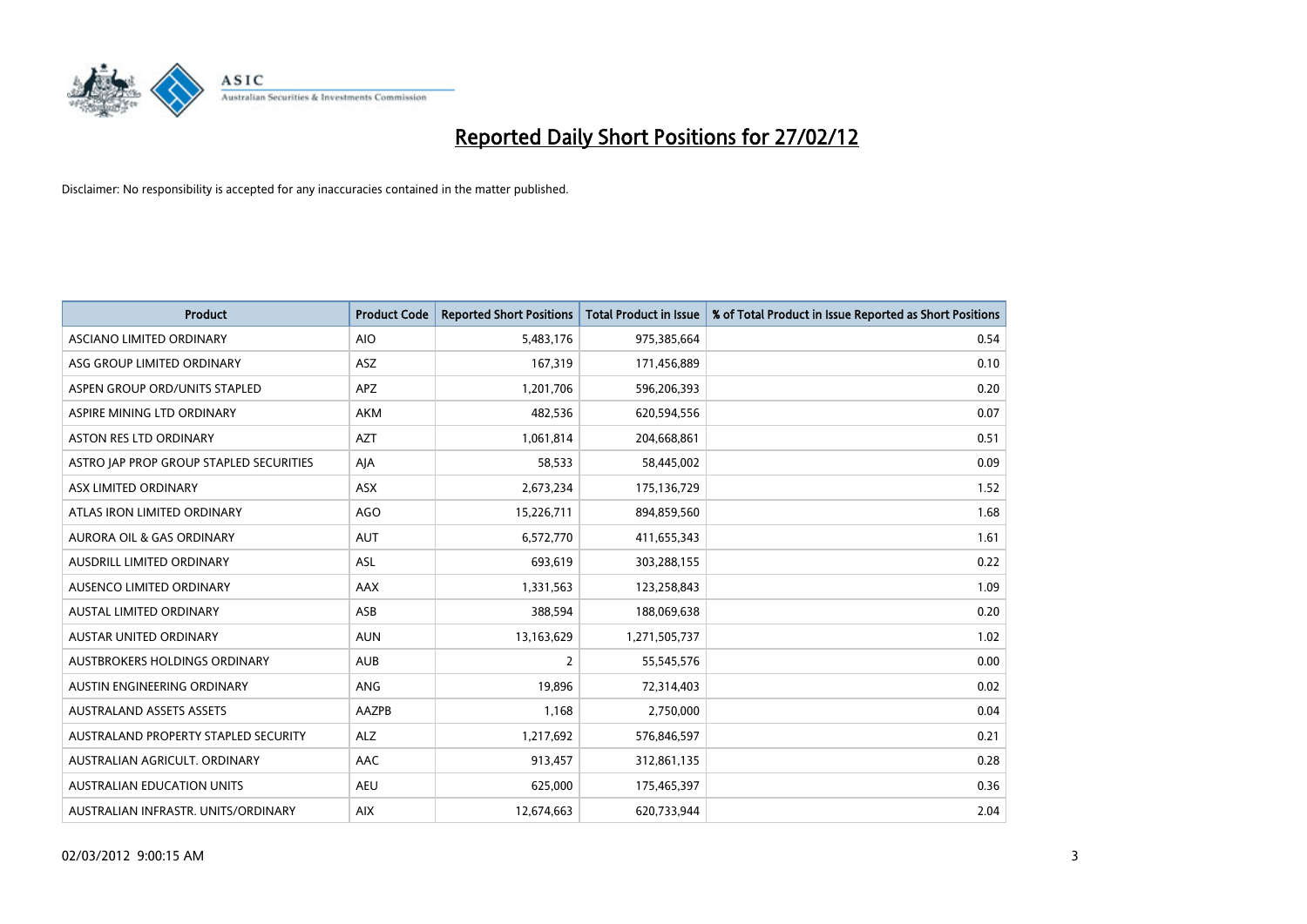

| <b>Product</b>                          | <b>Product Code</b> | <b>Reported Short Positions</b> | <b>Total Product in Issue</b> | % of Total Product in Issue Reported as Short Positions |
|-----------------------------------------|---------------------|---------------------------------|-------------------------------|---------------------------------------------------------|
| ASCIANO LIMITED ORDINARY                | <b>AIO</b>          | 5,483,176                       | 975,385,664                   | 0.54                                                    |
| ASG GROUP LIMITED ORDINARY              | ASZ                 | 167,319                         | 171,456,889                   | 0.10                                                    |
| ASPEN GROUP ORD/UNITS STAPLED           | <b>APZ</b>          | 1,201,706                       | 596,206,393                   | 0.20                                                    |
| ASPIRE MINING LTD ORDINARY              | <b>AKM</b>          | 482,536                         | 620,594,556                   | 0.07                                                    |
| <b>ASTON RES LTD ORDINARY</b>           | <b>AZT</b>          | 1,061,814                       | 204,668,861                   | 0.51                                                    |
| ASTRO JAP PROP GROUP STAPLED SECURITIES | AJA                 | 58,533                          | 58,445,002                    | 0.09                                                    |
| ASX LIMITED ORDINARY                    | <b>ASX</b>          | 2,673,234                       | 175,136,729                   | 1.52                                                    |
| ATLAS IRON LIMITED ORDINARY             | <b>AGO</b>          | 15,226,711                      | 894,859,560                   | 1.68                                                    |
| <b>AURORA OIL &amp; GAS ORDINARY</b>    | <b>AUT</b>          | 6,572,770                       | 411,655,343                   | 1.61                                                    |
| AUSDRILL LIMITED ORDINARY               | ASL                 | 693,619                         | 303,288,155                   | 0.22                                                    |
| AUSENCO LIMITED ORDINARY                | AAX                 | 1,331,563                       | 123,258,843                   | 1.09                                                    |
| <b>AUSTAL LIMITED ORDINARY</b>          | ASB                 | 388,594                         | 188,069,638                   | 0.20                                                    |
| <b>AUSTAR UNITED ORDINARY</b>           | <b>AUN</b>          | 13,163,629                      | 1,271,505,737                 | 1.02                                                    |
| AUSTBROKERS HOLDINGS ORDINARY           | <b>AUB</b>          | 2                               | 55,545,576                    | 0.00                                                    |
| AUSTIN ENGINEERING ORDINARY             | ANG                 | 19,896                          | 72,314,403                    | 0.02                                                    |
| <b>AUSTRALAND ASSETS ASSETS</b>         | <b>AAZPB</b>        | 1,168                           | 2,750,000                     | 0.04                                                    |
| AUSTRALAND PROPERTY STAPLED SECURITY    | <b>ALZ</b>          | 1,217,692                       | 576,846,597                   | 0.21                                                    |
| AUSTRALIAN AGRICULT, ORDINARY           | AAC                 | 913,457                         | 312,861,135                   | 0.28                                                    |
| <b>AUSTRALIAN EDUCATION UNITS</b>       | <b>AEU</b>          | 625,000                         | 175,465,397                   | 0.36                                                    |
| AUSTRALIAN INFRASTR. UNITS/ORDINARY     | <b>AIX</b>          | 12,674,663                      | 620,733,944                   | 2.04                                                    |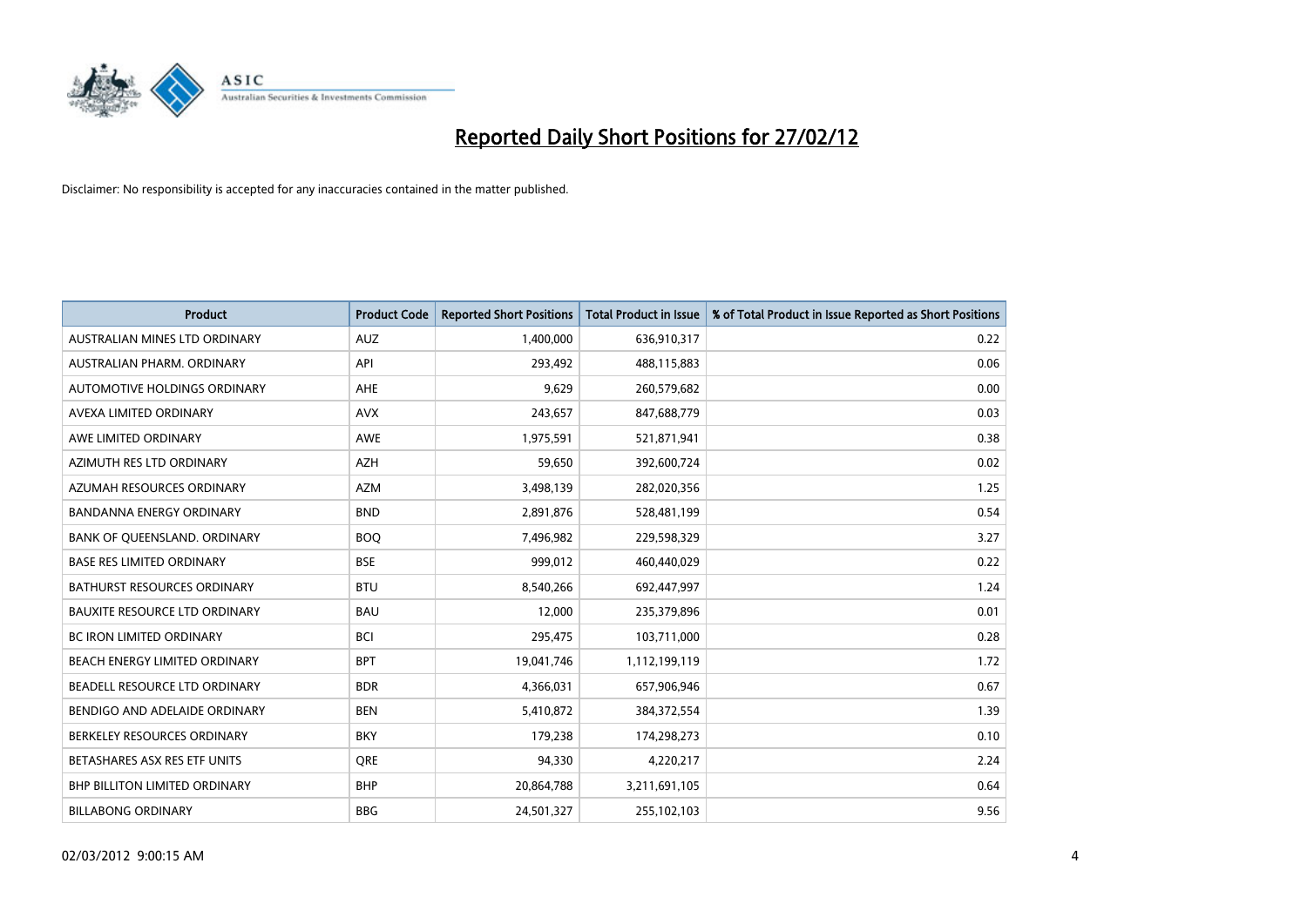

| <b>Product</b>                       | <b>Product Code</b> | <b>Reported Short Positions</b> | <b>Total Product in Issue</b> | % of Total Product in Issue Reported as Short Positions |
|--------------------------------------|---------------------|---------------------------------|-------------------------------|---------------------------------------------------------|
| AUSTRALIAN MINES LTD ORDINARY        | <b>AUZ</b>          | 1,400,000                       | 636,910,317                   | 0.22                                                    |
| AUSTRALIAN PHARM. ORDINARY           | API                 | 293,492                         | 488,115,883                   | 0.06                                                    |
| <b>AUTOMOTIVE HOLDINGS ORDINARY</b>  | AHE                 | 9,629                           | 260,579,682                   | 0.00                                                    |
| AVEXA LIMITED ORDINARY               | <b>AVX</b>          | 243,657                         | 847,688,779                   | 0.03                                                    |
| AWE LIMITED ORDINARY                 | <b>AWE</b>          | 1,975,591                       | 521,871,941                   | 0.38                                                    |
| AZIMUTH RES LTD ORDINARY             | <b>AZH</b>          | 59,650                          | 392,600,724                   | 0.02                                                    |
| AZUMAH RESOURCES ORDINARY            | AZM                 | 3,498,139                       | 282,020,356                   | 1.25                                                    |
| BANDANNA ENERGY ORDINARY             | <b>BND</b>          | 2,891,876                       | 528,481,199                   | 0.54                                                    |
| BANK OF QUEENSLAND. ORDINARY         | <b>BOQ</b>          | 7,496,982                       | 229,598,329                   | 3.27                                                    |
| <b>BASE RES LIMITED ORDINARY</b>     | <b>BSE</b>          | 999,012                         | 460,440,029                   | 0.22                                                    |
| BATHURST RESOURCES ORDINARY          | <b>BTU</b>          | 8,540,266                       | 692,447,997                   | 1.24                                                    |
| <b>BAUXITE RESOURCE LTD ORDINARY</b> | <b>BAU</b>          | 12,000                          | 235,379,896                   | 0.01                                                    |
| <b>BC IRON LIMITED ORDINARY</b>      | <b>BCI</b>          | 295,475                         | 103,711,000                   | 0.28                                                    |
| BEACH ENERGY LIMITED ORDINARY        | <b>BPT</b>          | 19,041,746                      | 1,112,199,119                 | 1.72                                                    |
| BEADELL RESOURCE LTD ORDINARY        | <b>BDR</b>          | 4,366,031                       | 657,906,946                   | 0.67                                                    |
| BENDIGO AND ADELAIDE ORDINARY        | <b>BEN</b>          | 5,410,872                       | 384,372,554                   | 1.39                                                    |
| BERKELEY RESOURCES ORDINARY          | <b>BKY</b>          | 179,238                         | 174,298,273                   | 0.10                                                    |
| BETASHARES ASX RES ETF UNITS         | <b>ORE</b>          | 94,330                          | 4,220,217                     | 2.24                                                    |
| <b>BHP BILLITON LIMITED ORDINARY</b> | <b>BHP</b>          | 20,864,788                      | 3,211,691,105                 | 0.64                                                    |
| <b>BILLABONG ORDINARY</b>            | <b>BBG</b>          | 24,501,327                      | 255,102,103                   | 9.56                                                    |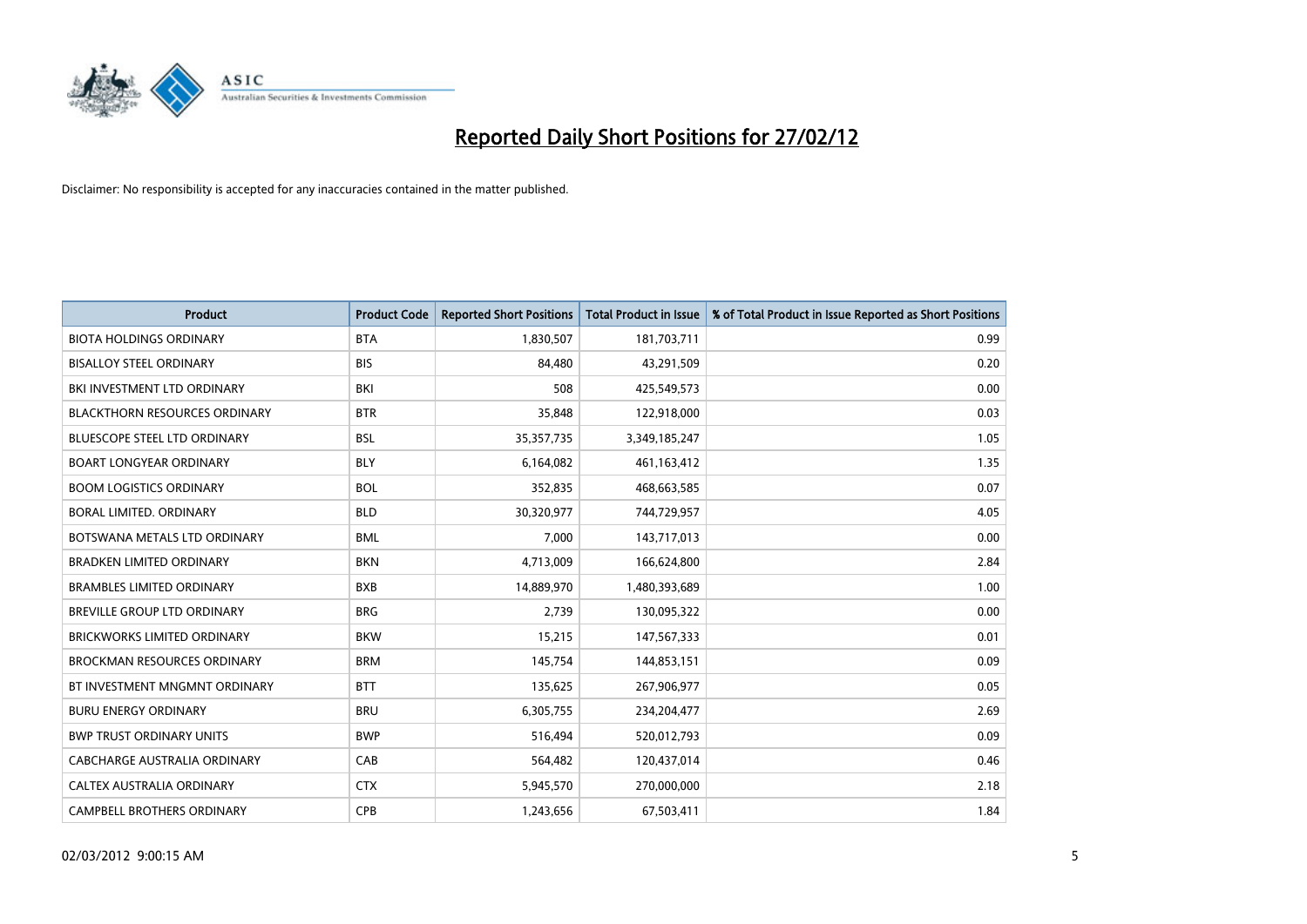

| <b>Product</b>                       | <b>Product Code</b> | <b>Reported Short Positions</b> | <b>Total Product in Issue</b> | % of Total Product in Issue Reported as Short Positions |
|--------------------------------------|---------------------|---------------------------------|-------------------------------|---------------------------------------------------------|
| <b>BIOTA HOLDINGS ORDINARY</b>       | <b>BTA</b>          | 1,830,507                       | 181,703,711                   | 0.99                                                    |
| <b>BISALLOY STEEL ORDINARY</b>       | <b>BIS</b>          | 84,480                          | 43,291,509                    | 0.20                                                    |
| BKI INVESTMENT LTD ORDINARY          | BKI                 | 508                             | 425,549,573                   | 0.00                                                    |
| <b>BLACKTHORN RESOURCES ORDINARY</b> | <b>BTR</b>          | 35,848                          | 122,918,000                   | 0.03                                                    |
| BLUESCOPE STEEL LTD ORDINARY         | <b>BSL</b>          | 35, 357, 735                    | 3,349,185,247                 | 1.05                                                    |
| <b>BOART LONGYEAR ORDINARY</b>       | <b>BLY</b>          | 6,164,082                       | 461,163,412                   | 1.35                                                    |
| <b>BOOM LOGISTICS ORDINARY</b>       | <b>BOL</b>          | 352,835                         | 468,663,585                   | 0.07                                                    |
| BORAL LIMITED, ORDINARY              | <b>BLD</b>          | 30,320,977                      | 744,729,957                   | 4.05                                                    |
| BOTSWANA METALS LTD ORDINARY         | <b>BML</b>          | 7,000                           | 143,717,013                   | 0.00                                                    |
| <b>BRADKEN LIMITED ORDINARY</b>      | <b>BKN</b>          | 4,713,009                       | 166,624,800                   | 2.84                                                    |
| <b>BRAMBLES LIMITED ORDINARY</b>     | <b>BXB</b>          | 14,889,970                      | 1,480,393,689                 | 1.00                                                    |
| <b>BREVILLE GROUP LTD ORDINARY</b>   | <b>BRG</b>          | 2,739                           | 130,095,322                   | 0.00                                                    |
| <b>BRICKWORKS LIMITED ORDINARY</b>   | <b>BKW</b>          | 15,215                          | 147,567,333                   | 0.01                                                    |
| <b>BROCKMAN RESOURCES ORDINARY</b>   | <b>BRM</b>          | 145,754                         | 144,853,151                   | 0.09                                                    |
| BT INVESTMENT MNGMNT ORDINARY        | <b>BTT</b>          | 135,625                         | 267,906,977                   | 0.05                                                    |
| <b>BURU ENERGY ORDINARY</b>          | <b>BRU</b>          | 6,305,755                       | 234,204,477                   | 2.69                                                    |
| <b>BWP TRUST ORDINARY UNITS</b>      | <b>BWP</b>          | 516,494                         | 520,012,793                   | 0.09                                                    |
| <b>CABCHARGE AUSTRALIA ORDINARY</b>  | CAB                 | 564,482                         | 120,437,014                   | 0.46                                                    |
| CALTEX AUSTRALIA ORDINARY            | <b>CTX</b>          | 5,945,570                       | 270,000,000                   | 2.18                                                    |
| <b>CAMPBELL BROTHERS ORDINARY</b>    | <b>CPB</b>          | 1,243,656                       | 67,503,411                    | 1.84                                                    |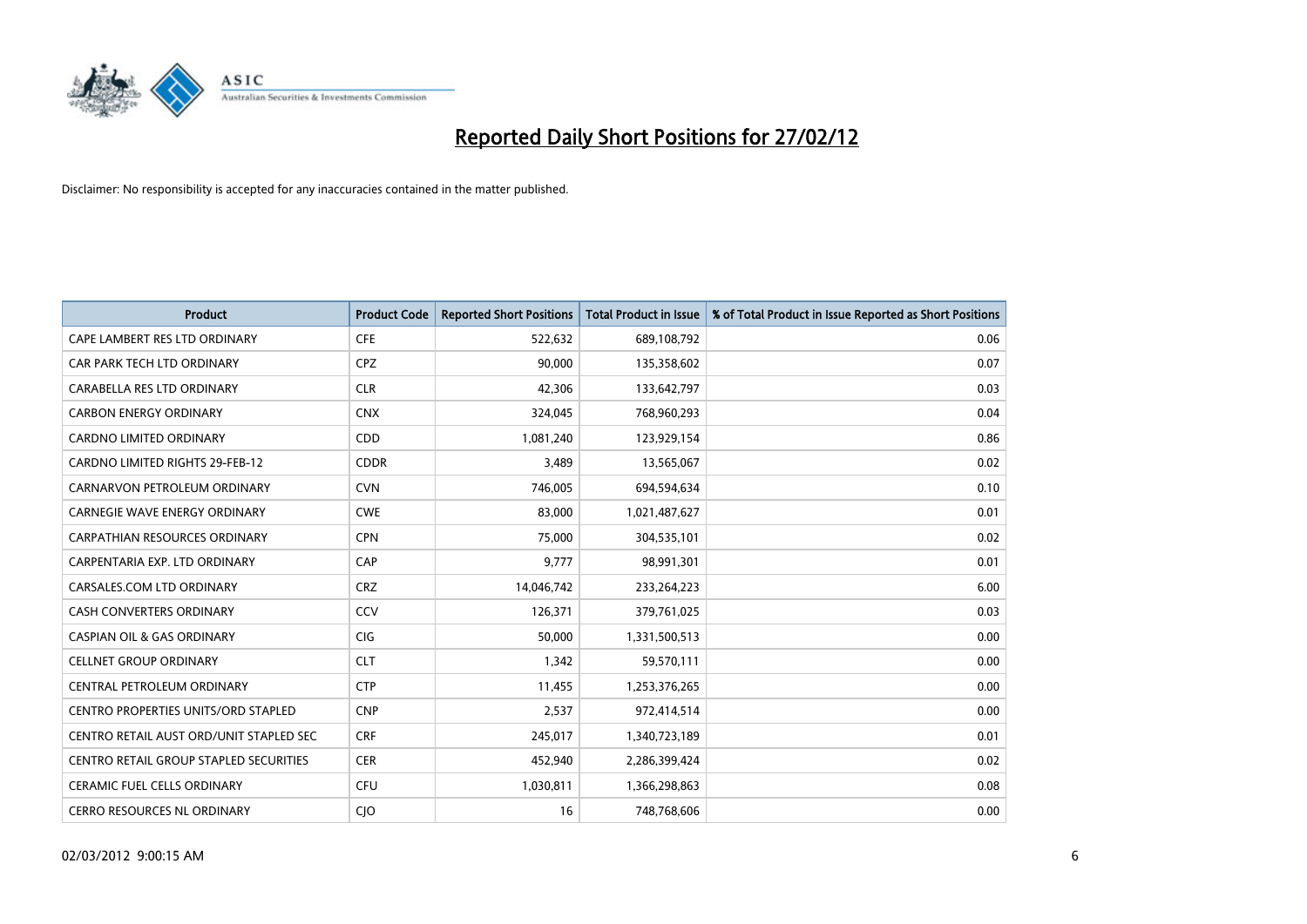

| <b>Product</b>                                | <b>Product Code</b> | <b>Reported Short Positions</b> | <b>Total Product in Issue</b> | % of Total Product in Issue Reported as Short Positions |
|-----------------------------------------------|---------------------|---------------------------------|-------------------------------|---------------------------------------------------------|
| CAPE LAMBERT RES LTD ORDINARY                 | <b>CFE</b>          | 522,632                         | 689,108,792                   | 0.06                                                    |
| CAR PARK TECH LTD ORDINARY                    | <b>CPZ</b>          | 90,000                          | 135,358,602                   | 0.07                                                    |
| CARABELLA RES LTD ORDINARY                    | <b>CLR</b>          | 42,306                          | 133,642,797                   | 0.03                                                    |
| <b>CARBON ENERGY ORDINARY</b>                 | <b>CNX</b>          | 324,045                         | 768,960,293                   | 0.04                                                    |
| CARDNO LIMITED ORDINARY                       | CDD                 | 1,081,240                       | 123,929,154                   | 0.86                                                    |
| <b>CARDNO LIMITED RIGHTS 29-FEB-12</b>        | <b>CDDR</b>         | 3,489                           | 13,565,067                    | 0.02                                                    |
| CARNARVON PETROLEUM ORDINARY                  | <b>CVN</b>          | 746.005                         | 694,594,634                   | 0.10                                                    |
| <b>CARNEGIE WAVE ENERGY ORDINARY</b>          | <b>CWE</b>          | 83,000                          | 1,021,487,627                 | 0.01                                                    |
| <b>CARPATHIAN RESOURCES ORDINARY</b>          | <b>CPN</b>          | 75,000                          | 304,535,101                   | 0.02                                                    |
| CARPENTARIA EXP. LTD ORDINARY                 | CAP                 | 9,777                           | 98,991,301                    | 0.01                                                    |
| CARSALES.COM LTD ORDINARY                     | <b>CRZ</b>          | 14,046,742                      | 233,264,223                   | 6.00                                                    |
| <b>CASH CONVERTERS ORDINARY</b>               | CCV                 | 126,371                         | 379,761,025                   | 0.03                                                    |
| <b>CASPIAN OIL &amp; GAS ORDINARY</b>         | CIG                 | 50,000                          | 1,331,500,513                 | 0.00                                                    |
| <b>CELLNET GROUP ORDINARY</b>                 | <b>CLT</b>          | 1,342                           | 59,570,111                    | 0.00                                                    |
| CENTRAL PETROLEUM ORDINARY                    | <b>CTP</b>          | 11,455                          | 1,253,376,265                 | 0.00                                                    |
| <b>CENTRO PROPERTIES UNITS/ORD STAPLED</b>    | <b>CNP</b>          | 2,537                           | 972,414,514                   | 0.00                                                    |
| CENTRO RETAIL AUST ORD/UNIT STAPLED SEC       | <b>CRF</b>          | 245,017                         | 1,340,723,189                 | 0.01                                                    |
| <b>CENTRO RETAIL GROUP STAPLED SECURITIES</b> | <b>CER</b>          | 452.940                         | 2,286,399,424                 | 0.02                                                    |
| <b>CERAMIC FUEL CELLS ORDINARY</b>            | <b>CFU</b>          | 1,030,811                       | 1,366,298,863                 | 0.08                                                    |
| CERRO RESOURCES NL ORDINARY                   | CJO                 | 16                              | 748,768,606                   | 0.00                                                    |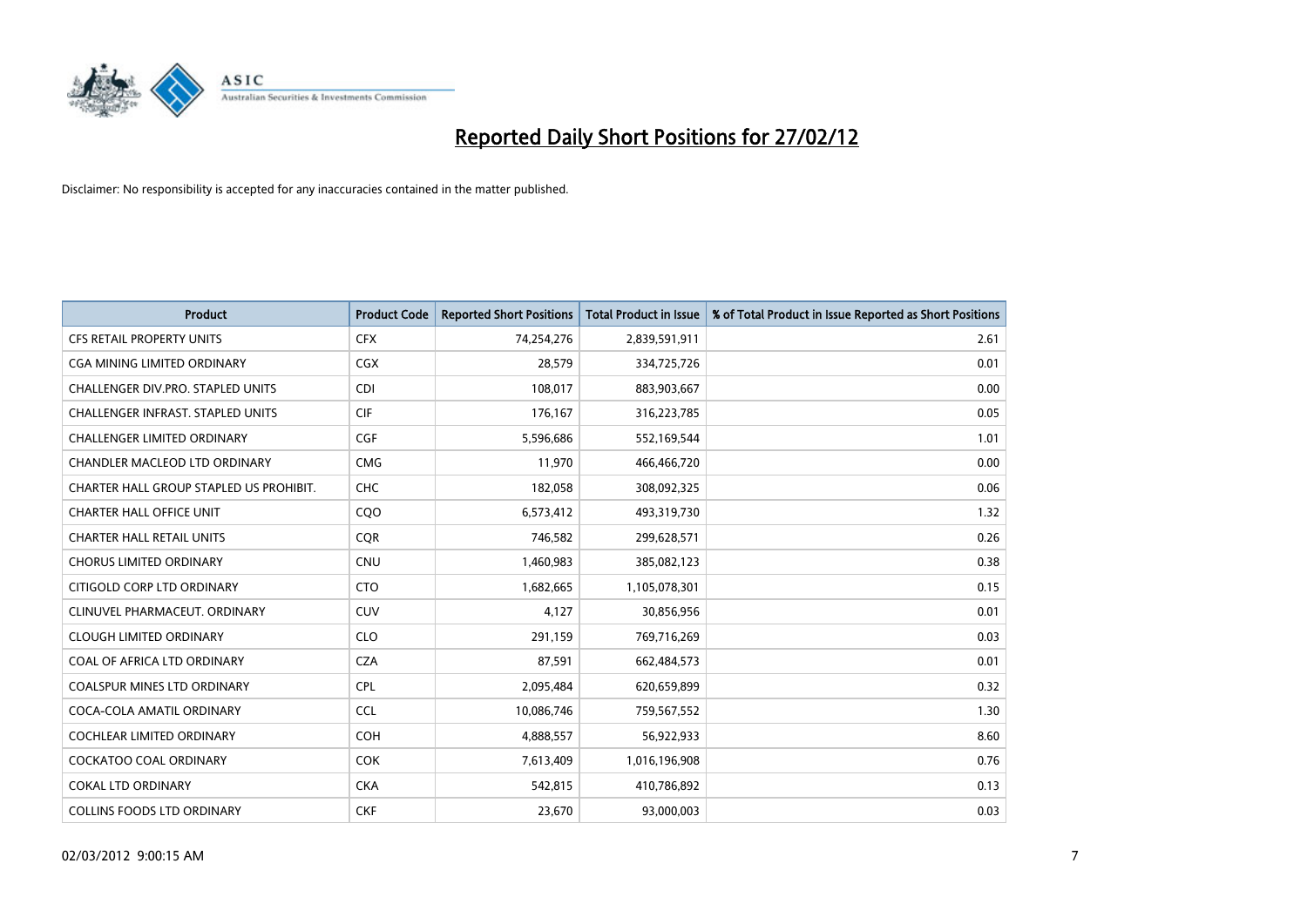

| <b>Product</b>                           | <b>Product Code</b> | <b>Reported Short Positions</b> | <b>Total Product in Issue</b> | % of Total Product in Issue Reported as Short Positions |
|------------------------------------------|---------------------|---------------------------------|-------------------------------|---------------------------------------------------------|
| <b>CFS RETAIL PROPERTY UNITS</b>         | <b>CFX</b>          | 74,254,276                      | 2,839,591,911                 | 2.61                                                    |
| CGA MINING LIMITED ORDINARY              | CGX                 | 28,579                          | 334,725,726                   | 0.01                                                    |
| CHALLENGER DIV.PRO. STAPLED UNITS        | CDI                 | 108,017                         | 883,903,667                   | 0.00                                                    |
| <b>CHALLENGER INFRAST, STAPLED UNITS</b> | <b>CIF</b>          | 176,167                         | 316,223,785                   | 0.05                                                    |
| <b>CHALLENGER LIMITED ORDINARY</b>       | <b>CGF</b>          | 5,596,686                       | 552,169,544                   | 1.01                                                    |
| CHANDLER MACLEOD LTD ORDINARY            | <b>CMG</b>          | 11,970                          | 466,466,720                   | 0.00                                                    |
| CHARTER HALL GROUP STAPLED US PROHIBIT.  | <b>CHC</b>          | 182,058                         | 308,092,325                   | 0.06                                                    |
| <b>CHARTER HALL OFFICE UNIT</b>          | CQO                 | 6,573,412                       | 493,319,730                   | 1.32                                                    |
| <b>CHARTER HALL RETAIL UNITS</b>         | <b>COR</b>          | 746,582                         | 299,628,571                   | 0.26                                                    |
| <b>CHORUS LIMITED ORDINARY</b>           | <b>CNU</b>          | 1,460,983                       | 385,082,123                   | 0.38                                                    |
| CITIGOLD CORP LTD ORDINARY               | <b>CTO</b>          | 1,682,665                       | 1,105,078,301                 | 0.15                                                    |
| CLINUVEL PHARMACEUT, ORDINARY            | <b>CUV</b>          | 4,127                           | 30,856,956                    | 0.01                                                    |
| <b>CLOUGH LIMITED ORDINARY</b>           | <b>CLO</b>          | 291,159                         | 769,716,269                   | 0.03                                                    |
| COAL OF AFRICA LTD ORDINARY              | <b>CZA</b>          | 87,591                          | 662,484,573                   | 0.01                                                    |
| <b>COALSPUR MINES LTD ORDINARY</b>       | <b>CPL</b>          | 2,095,484                       | 620,659,899                   | 0.32                                                    |
| COCA-COLA AMATIL ORDINARY                | <b>CCL</b>          | 10,086,746                      | 759,567,552                   | 1.30                                                    |
| <b>COCHLEAR LIMITED ORDINARY</b>         | <b>COH</b>          | 4,888,557                       | 56,922,933                    | 8.60                                                    |
| <b>COCKATOO COAL ORDINARY</b>            | <b>COK</b>          | 7,613,409                       | 1,016,196,908                 | 0.76                                                    |
| <b>COKAL LTD ORDINARY</b>                | <b>CKA</b>          | 542,815                         | 410,786,892                   | 0.13                                                    |
| <b>COLLINS FOODS LTD ORDINARY</b>        | <b>CKF</b>          | 23,670                          | 93,000,003                    | 0.03                                                    |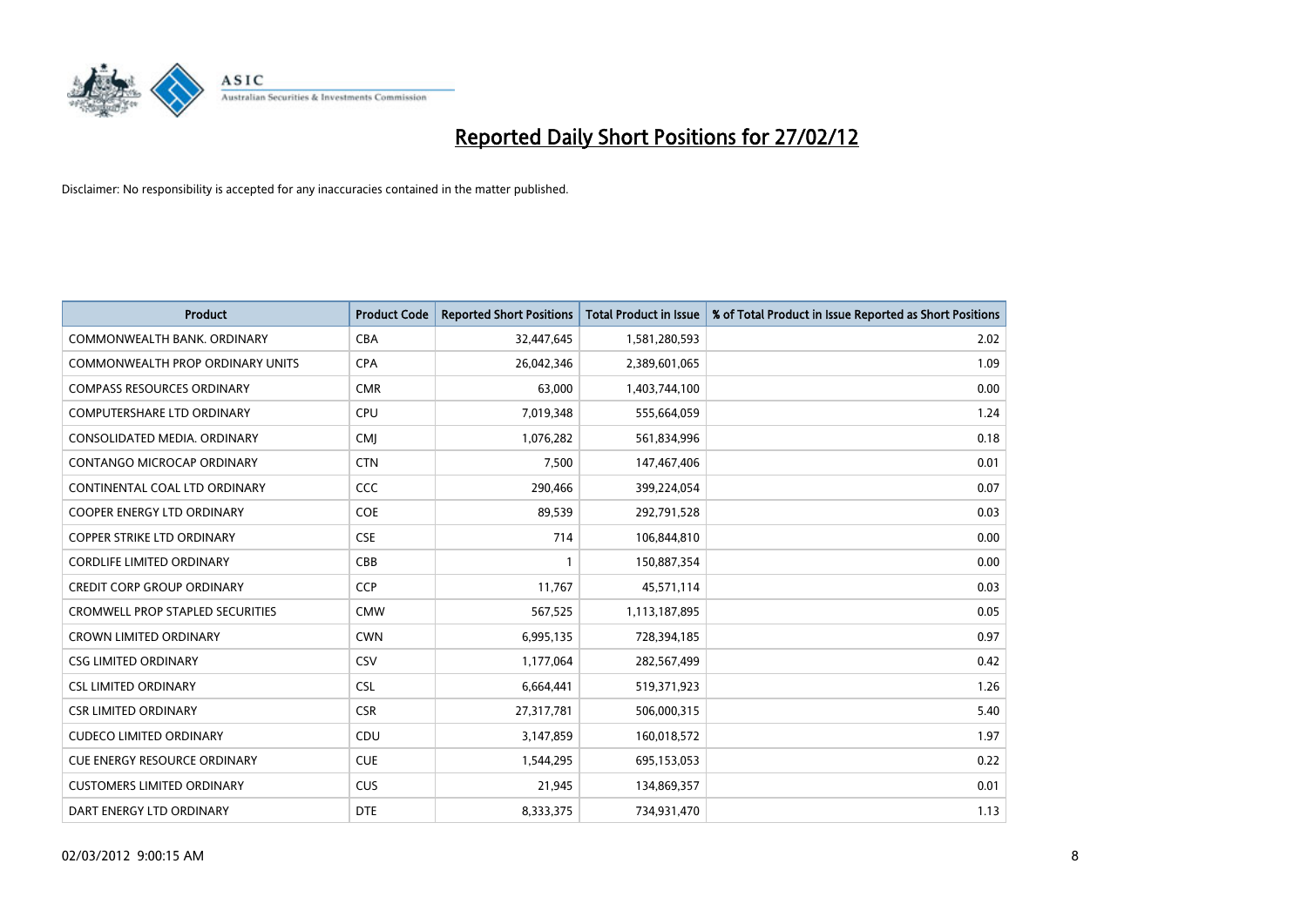

| <b>Product</b>                          | <b>Product Code</b> | <b>Reported Short Positions</b> | <b>Total Product in Issue</b> | % of Total Product in Issue Reported as Short Positions |
|-----------------------------------------|---------------------|---------------------------------|-------------------------------|---------------------------------------------------------|
| COMMONWEALTH BANK, ORDINARY             | <b>CBA</b>          | 32,447,645                      | 1,581,280,593                 | 2.02                                                    |
| <b>COMMONWEALTH PROP ORDINARY UNITS</b> | <b>CPA</b>          | 26,042,346                      | 2,389,601,065                 | 1.09                                                    |
| <b>COMPASS RESOURCES ORDINARY</b>       | <b>CMR</b>          | 63,000                          | 1,403,744,100                 | 0.00                                                    |
| COMPUTERSHARE LTD ORDINARY              | <b>CPU</b>          | 7,019,348                       | 555,664,059                   | 1.24                                                    |
| CONSOLIDATED MEDIA, ORDINARY            | <b>CMI</b>          | 1,076,282                       | 561,834,996                   | 0.18                                                    |
| CONTANGO MICROCAP ORDINARY              | <b>CTN</b>          | 7,500                           | 147,467,406                   | 0.01                                                    |
| CONTINENTAL COAL LTD ORDINARY           | <b>CCC</b>          | 290,466                         | 399,224,054                   | 0.07                                                    |
| <b>COOPER ENERGY LTD ORDINARY</b>       | <b>COE</b>          | 89,539                          | 292,791,528                   | 0.03                                                    |
| COPPER STRIKE LTD ORDINARY              | <b>CSE</b>          | 714                             | 106,844,810                   | 0.00                                                    |
| <b>CORDLIFE LIMITED ORDINARY</b>        | CBB                 | $\mathbf{1}$                    | 150,887,354                   | 0.00                                                    |
| <b>CREDIT CORP GROUP ORDINARY</b>       | CCP                 | 11,767                          | 45,571,114                    | 0.03                                                    |
| <b>CROMWELL PROP STAPLED SECURITIES</b> | <b>CMW</b>          | 567,525                         | 1,113,187,895                 | 0.05                                                    |
| <b>CROWN LIMITED ORDINARY</b>           | <b>CWN</b>          | 6,995,135                       | 728,394,185                   | 0.97                                                    |
| <b>CSG LIMITED ORDINARY</b>             | CSV                 | 1,177,064                       | 282,567,499                   | 0.42                                                    |
| <b>CSL LIMITED ORDINARY</b>             | <b>CSL</b>          | 6,664,441                       | 519,371,923                   | 1.26                                                    |
| <b>CSR LIMITED ORDINARY</b>             | <b>CSR</b>          | 27,317,781                      | 506,000,315                   | 5.40                                                    |
| <b>CUDECO LIMITED ORDINARY</b>          | CDU                 | 3,147,859                       | 160,018,572                   | 1.97                                                    |
| CUE ENERGY RESOURCE ORDINARY            | <b>CUE</b>          | 1,544,295                       | 695,153,053                   | 0.22                                                    |
| <b>CUSTOMERS LIMITED ORDINARY</b>       | <b>CUS</b>          | 21,945                          | 134,869,357                   | 0.01                                                    |
| DART ENERGY LTD ORDINARY                | <b>DTE</b>          | 8,333,375                       | 734,931,470                   | 1.13                                                    |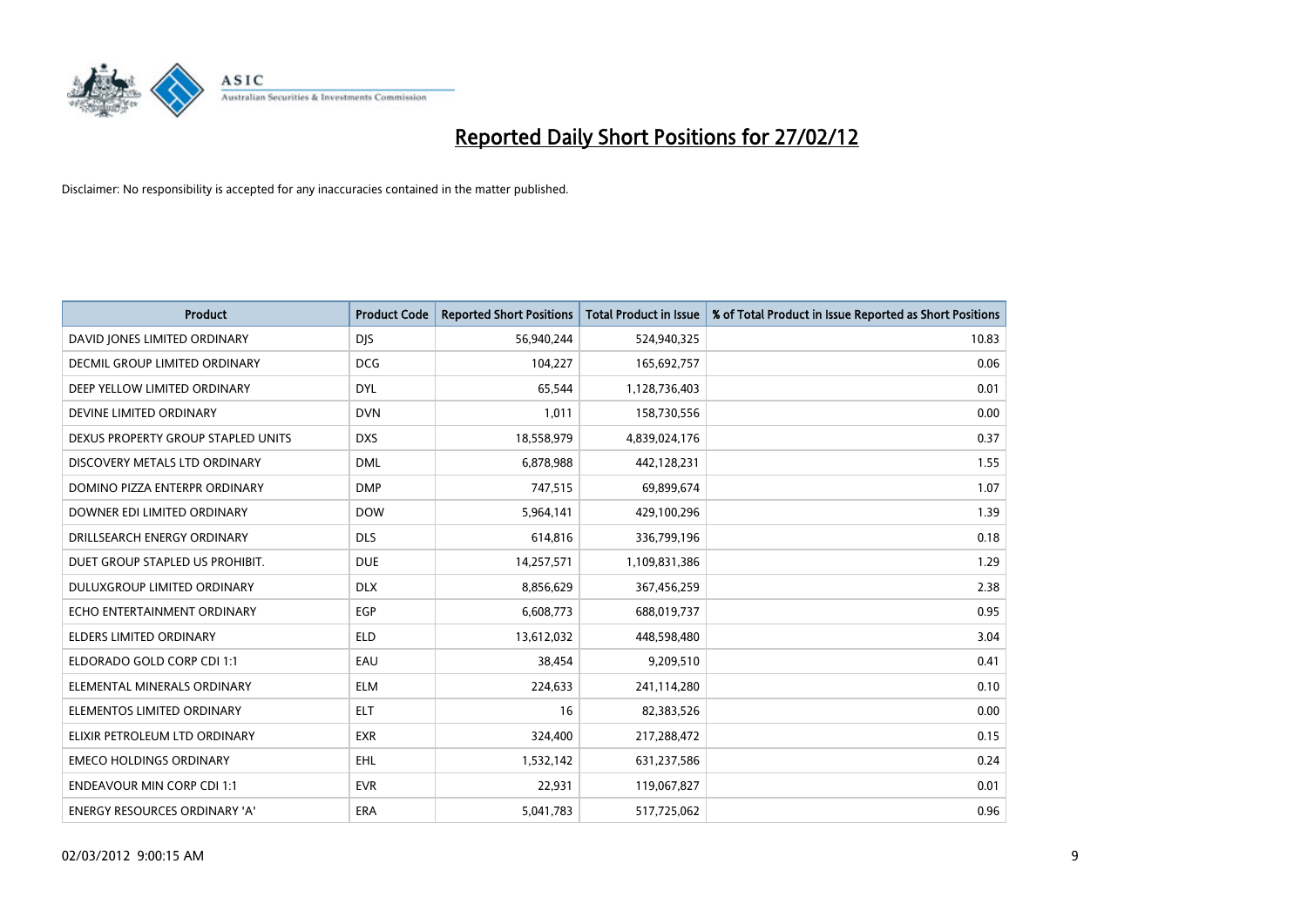

| <b>Product</b>                     | <b>Product Code</b> | <b>Reported Short Positions</b> | <b>Total Product in Issue</b> | % of Total Product in Issue Reported as Short Positions |
|------------------------------------|---------------------|---------------------------------|-------------------------------|---------------------------------------------------------|
| DAVID JONES LIMITED ORDINARY       | <b>DJS</b>          | 56,940,244                      | 524,940,325                   | 10.83                                                   |
| DECMIL GROUP LIMITED ORDINARY      | <b>DCG</b>          | 104,227                         | 165,692,757                   | 0.06                                                    |
| DEEP YELLOW LIMITED ORDINARY       | <b>DYL</b>          | 65,544                          | 1,128,736,403                 | 0.01                                                    |
| DEVINE LIMITED ORDINARY            | <b>DVN</b>          | 1,011                           | 158,730,556                   | 0.00                                                    |
| DEXUS PROPERTY GROUP STAPLED UNITS | <b>DXS</b>          | 18,558,979                      | 4,839,024,176                 | 0.37                                                    |
| DISCOVERY METALS LTD ORDINARY      | <b>DML</b>          | 6,878,988                       | 442,128,231                   | 1.55                                                    |
| DOMINO PIZZA ENTERPR ORDINARY      | <b>DMP</b>          | 747,515                         | 69,899,674                    | 1.07                                                    |
| DOWNER EDI LIMITED ORDINARY        | <b>DOW</b>          | 5,964,141                       | 429,100,296                   | 1.39                                                    |
| DRILLSEARCH ENERGY ORDINARY        | <b>DLS</b>          | 614,816                         | 336,799,196                   | 0.18                                                    |
| DUET GROUP STAPLED US PROHIBIT.    | <b>DUE</b>          | 14,257,571                      | 1,109,831,386                 | 1.29                                                    |
| DULUXGROUP LIMITED ORDINARY        | <b>DLX</b>          | 8,856,629                       | 367,456,259                   | 2.38                                                    |
| ECHO ENTERTAINMENT ORDINARY        | <b>EGP</b>          | 6,608,773                       | 688,019,737                   | 0.95                                                    |
| ELDERS LIMITED ORDINARY            | <b>ELD</b>          | 13,612,032                      | 448,598,480                   | 3.04                                                    |
| ELDORADO GOLD CORP CDI 1:1         | EAU                 | 38,454                          | 9,209,510                     | 0.41                                                    |
| ELEMENTAL MINERALS ORDINARY        | <b>ELM</b>          | 224,633                         | 241,114,280                   | 0.10                                                    |
| ELEMENTOS LIMITED ORDINARY         | <b>ELT</b>          | 16                              | 82,383,526                    | 0.00                                                    |
| ELIXIR PETROLEUM LTD ORDINARY      | <b>EXR</b>          | 324,400                         | 217,288,472                   | 0.15                                                    |
| <b>EMECO HOLDINGS ORDINARY</b>     | <b>EHL</b>          | 1,532,142                       | 631,237,586                   | 0.24                                                    |
| <b>ENDEAVOUR MIN CORP CDI 1:1</b>  | <b>EVR</b>          | 22,931                          | 119,067,827                   | 0.01                                                    |
| ENERGY RESOURCES ORDINARY 'A'      | ERA                 | 5,041,783                       | 517,725,062                   | 0.96                                                    |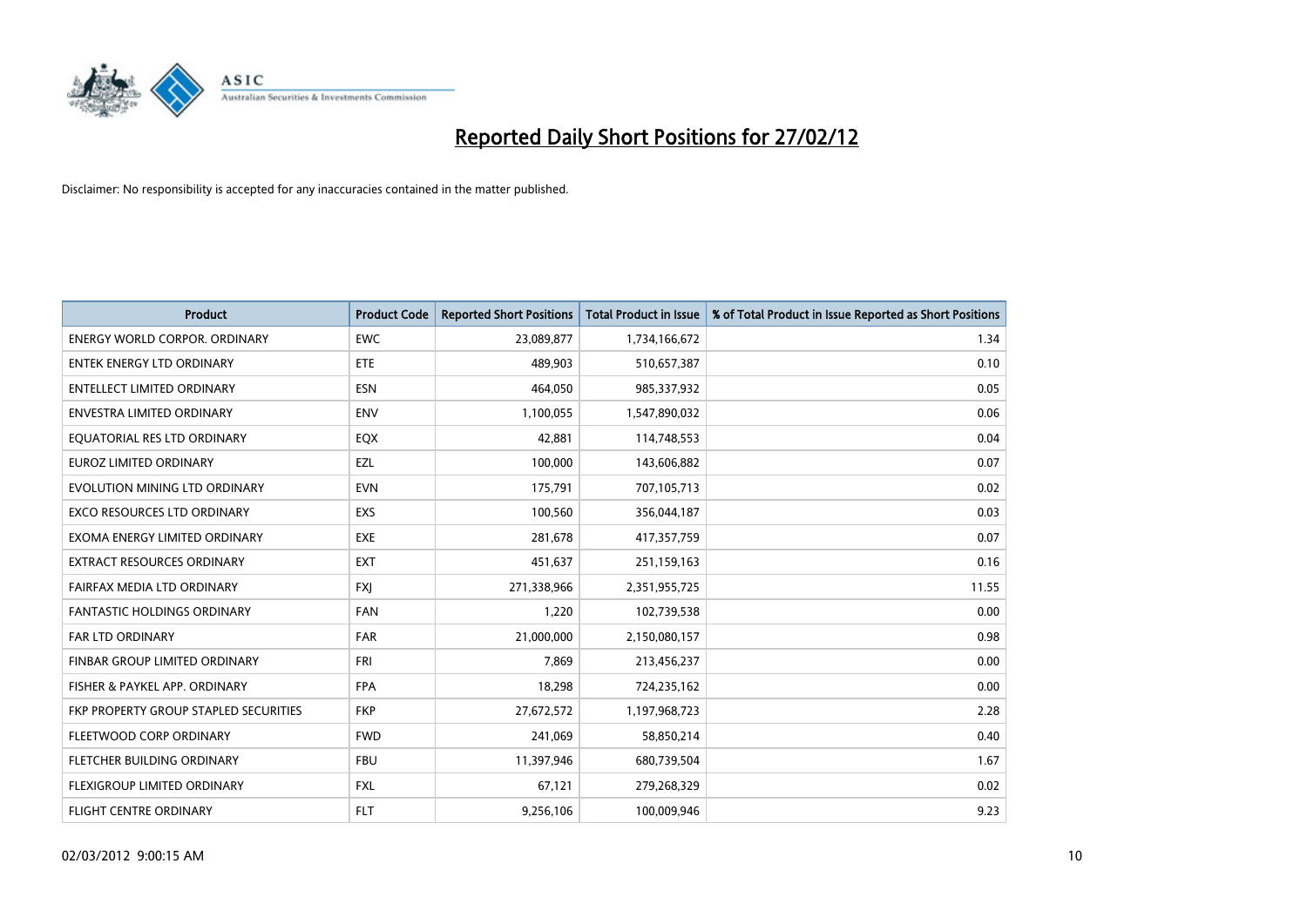

| <b>Product</b>                        | <b>Product Code</b> | <b>Reported Short Positions</b> | <b>Total Product in Issue</b> | % of Total Product in Issue Reported as Short Positions |
|---------------------------------------|---------------------|---------------------------------|-------------------------------|---------------------------------------------------------|
| <b>ENERGY WORLD CORPOR, ORDINARY</b>  | <b>EWC</b>          | 23,089,877                      | 1,734,166,672                 | 1.34                                                    |
| <b>ENTEK ENERGY LTD ORDINARY</b>      | ETE                 | 489,903                         | 510,657,387                   | 0.10                                                    |
| <b>ENTELLECT LIMITED ORDINARY</b>     | <b>ESN</b>          | 464,050                         | 985,337,932                   | 0.05                                                    |
| <b>ENVESTRA LIMITED ORDINARY</b>      | <b>ENV</b>          | 1,100,055                       | 1,547,890,032                 | 0.06                                                    |
| EQUATORIAL RES LTD ORDINARY           | EQX                 | 42,881                          | 114,748,553                   | 0.04                                                    |
| <b>EUROZ LIMITED ORDINARY</b>         | EZL                 | 100,000                         | 143,606,882                   | 0.07                                                    |
| EVOLUTION MINING LTD ORDINARY         | <b>EVN</b>          | 175,791                         | 707,105,713                   | 0.02                                                    |
| EXCO RESOURCES LTD ORDINARY           | <b>EXS</b>          | 100,560                         | 356,044,187                   | 0.03                                                    |
| EXOMA ENERGY LIMITED ORDINARY         | <b>EXE</b>          | 281,678                         | 417,357,759                   | 0.07                                                    |
| <b>EXTRACT RESOURCES ORDINARY</b>     | <b>EXT</b>          | 451,637                         | 251,159,163                   | 0.16                                                    |
| FAIRFAX MEDIA LTD ORDINARY            | <b>FXJ</b>          | 271,338,966                     | 2,351,955,725                 | 11.55                                                   |
| <b>FANTASTIC HOLDINGS ORDINARY</b>    | <b>FAN</b>          | 1,220                           | 102,739,538                   | 0.00                                                    |
| FAR LTD ORDINARY                      | <b>FAR</b>          | 21,000,000                      | 2,150,080,157                 | 0.98                                                    |
| FINBAR GROUP LIMITED ORDINARY         | <b>FRI</b>          | 7,869                           | 213,456,237                   | 0.00                                                    |
| FISHER & PAYKEL APP. ORDINARY         | <b>FPA</b>          | 18,298                          | 724,235,162                   | 0.00                                                    |
| FKP PROPERTY GROUP STAPLED SECURITIES | <b>FKP</b>          | 27,672,572                      | 1,197,968,723                 | 2.28                                                    |
| FLEETWOOD CORP ORDINARY               | <b>FWD</b>          | 241,069                         | 58,850,214                    | 0.40                                                    |
| FLETCHER BUILDING ORDINARY            | <b>FBU</b>          | 11,397,946                      | 680,739,504                   | 1.67                                                    |
| FLEXIGROUP LIMITED ORDINARY           | <b>FXL</b>          | 67,121                          | 279,268,329                   | 0.02                                                    |
| <b>FLIGHT CENTRE ORDINARY</b>         | FLT                 | 9,256,106                       | 100,009,946                   | 9.23                                                    |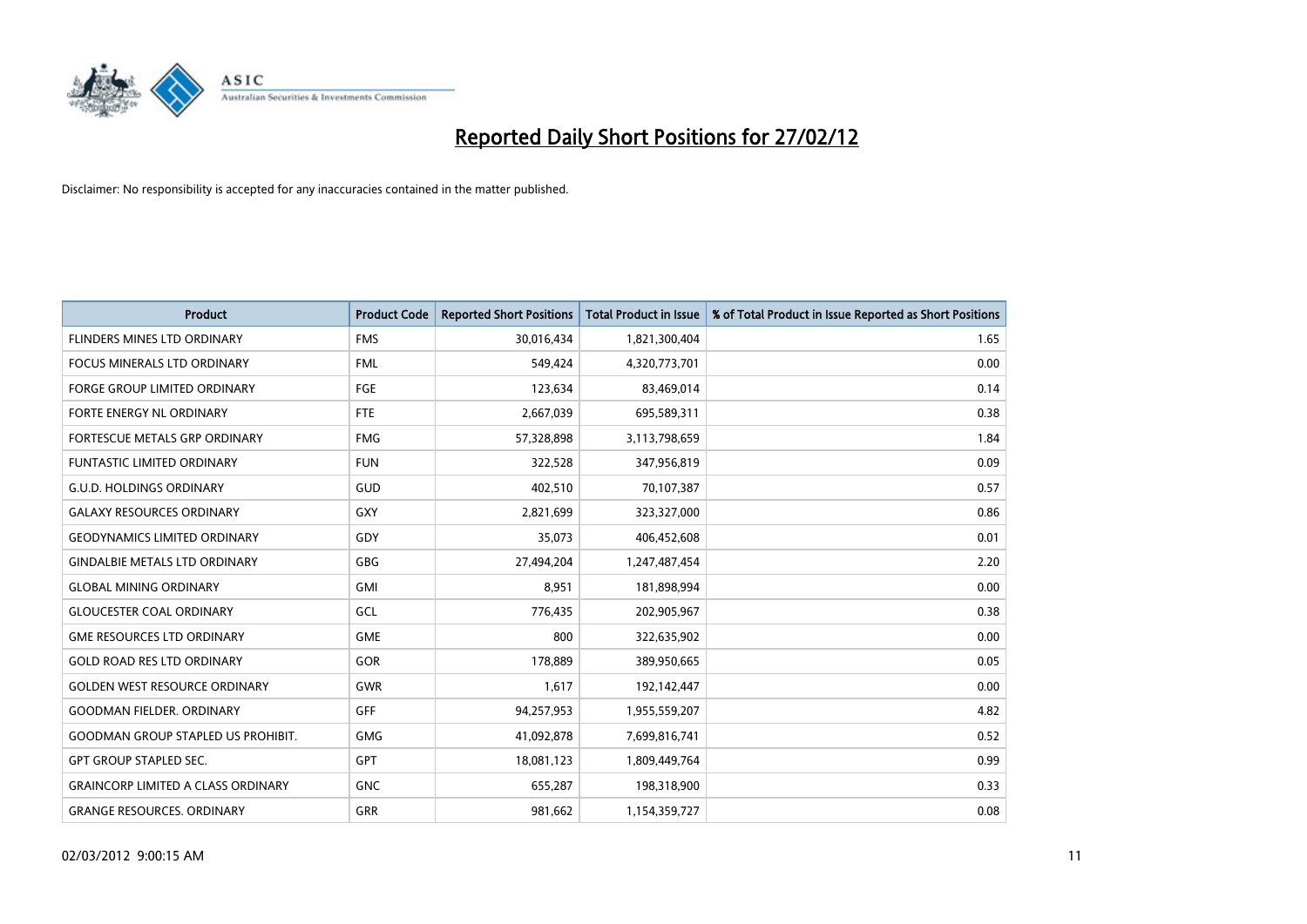

| <b>Product</b>                            | <b>Product Code</b> | <b>Reported Short Positions</b> | <b>Total Product in Issue</b> | % of Total Product in Issue Reported as Short Positions |
|-------------------------------------------|---------------------|---------------------------------|-------------------------------|---------------------------------------------------------|
| <b>FLINDERS MINES LTD ORDINARY</b>        | <b>FMS</b>          | 30,016,434                      | 1,821,300,404                 | 1.65                                                    |
| FOCUS MINERALS LTD ORDINARY               | <b>FML</b>          | 549,424                         | 4,320,773,701                 | 0.00                                                    |
| <b>FORGE GROUP LIMITED ORDINARY</b>       | FGE                 | 123,634                         | 83,469,014                    | 0.14                                                    |
| FORTE ENERGY NL ORDINARY                  | FTE                 | 2,667,039                       | 695,589,311                   | 0.38                                                    |
| FORTESCUE METALS GRP ORDINARY             | <b>FMG</b>          | 57,328,898                      | 3,113,798,659                 | 1.84                                                    |
| <b>FUNTASTIC LIMITED ORDINARY</b>         | <b>FUN</b>          | 322,528                         | 347,956,819                   | 0.09                                                    |
| <b>G.U.D. HOLDINGS ORDINARY</b>           | GUD                 | 402,510                         | 70,107,387                    | 0.57                                                    |
| <b>GALAXY RESOURCES ORDINARY</b>          | GXY                 | 2,821,699                       | 323,327,000                   | 0.86                                                    |
| <b>GEODYNAMICS LIMITED ORDINARY</b>       | GDY                 | 35,073                          | 406,452,608                   | 0.01                                                    |
| <b>GINDALBIE METALS LTD ORDINARY</b>      | GBG                 | 27,494,204                      | 1,247,487,454                 | 2.20                                                    |
| <b>GLOBAL MINING ORDINARY</b>             | GMI                 | 8,951                           | 181,898,994                   | 0.00                                                    |
| <b>GLOUCESTER COAL ORDINARY</b>           | GCL                 | 776,435                         | 202,905,967                   | 0.38                                                    |
| <b>GME RESOURCES LTD ORDINARY</b>         | <b>GME</b>          | 800                             | 322,635,902                   | 0.00                                                    |
| <b>GOLD ROAD RES LTD ORDINARY</b>         | GOR                 | 178,889                         | 389,950,665                   | 0.05                                                    |
| <b>GOLDEN WEST RESOURCE ORDINARY</b>      | <b>GWR</b>          | 1,617                           | 192,142,447                   | 0.00                                                    |
| <b>GOODMAN FIELDER. ORDINARY</b>          | <b>GFF</b>          | 94,257,953                      | 1,955,559,207                 | 4.82                                                    |
| <b>GOODMAN GROUP STAPLED US PROHIBIT.</b> | GMG                 | 41,092,878                      | 7,699,816,741                 | 0.52                                                    |
| <b>GPT GROUP STAPLED SEC.</b>             | <b>GPT</b>          | 18,081,123                      | 1,809,449,764                 | 0.99                                                    |
| <b>GRAINCORP LIMITED A CLASS ORDINARY</b> | <b>GNC</b>          | 655,287                         | 198,318,900                   | 0.33                                                    |
| <b>GRANGE RESOURCES. ORDINARY</b>         | GRR                 | 981,662                         | 1,154,359,727                 | 0.08                                                    |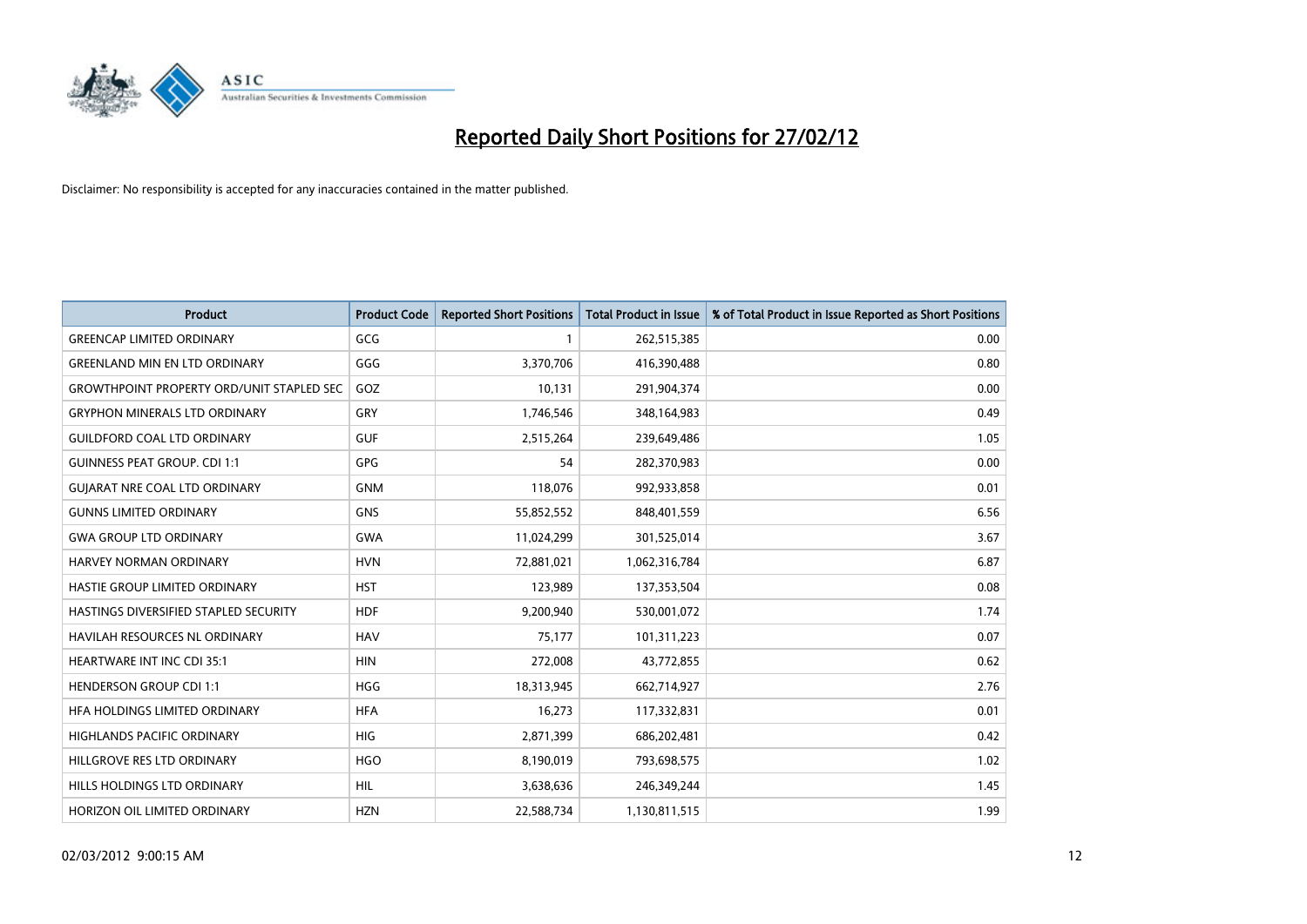

| <b>Product</b>                                   | <b>Product Code</b> | <b>Reported Short Positions</b> | <b>Total Product in Issue</b> | % of Total Product in Issue Reported as Short Positions |
|--------------------------------------------------|---------------------|---------------------------------|-------------------------------|---------------------------------------------------------|
| <b>GREENCAP LIMITED ORDINARY</b>                 | GCG                 | 1                               | 262,515,385                   | 0.00                                                    |
| <b>GREENLAND MIN EN LTD ORDINARY</b>             | GGG                 | 3,370,706                       | 416,390,488                   | 0.80                                                    |
| <b>GROWTHPOINT PROPERTY ORD/UNIT STAPLED SEC</b> | GOZ                 | 10,131                          | 291,904,374                   | 0.00                                                    |
| <b>GRYPHON MINERALS LTD ORDINARY</b>             | GRY                 | 1,746,546                       | 348,164,983                   | 0.49                                                    |
| <b>GUILDFORD COAL LTD ORDINARY</b>               | <b>GUF</b>          | 2,515,264                       | 239,649,486                   | 1.05                                                    |
| <b>GUINNESS PEAT GROUP. CDI 1:1</b>              | <b>GPG</b>          | 54                              | 282,370,983                   | 0.00                                                    |
| <b>GUIARAT NRE COAL LTD ORDINARY</b>             | <b>GNM</b>          | 118,076                         | 992,933,858                   | 0.01                                                    |
| <b>GUNNS LIMITED ORDINARY</b>                    | <b>GNS</b>          | 55,852,552                      | 848,401,559                   | 6.56                                                    |
| <b>GWA GROUP LTD ORDINARY</b>                    | <b>GWA</b>          | 11,024,299                      | 301,525,014                   | 3.67                                                    |
| <b>HARVEY NORMAN ORDINARY</b>                    | <b>HVN</b>          | 72,881,021                      | 1,062,316,784                 | 6.87                                                    |
| HASTIE GROUP LIMITED ORDINARY                    | <b>HST</b>          | 123,989                         | 137,353,504                   | 0.08                                                    |
| HASTINGS DIVERSIFIED STAPLED SECURITY            | <b>HDF</b>          | 9,200,940                       | 530,001,072                   | 1.74                                                    |
| <b>HAVILAH RESOURCES NL ORDINARY</b>             | <b>HAV</b>          | 75,177                          | 101,311,223                   | 0.07                                                    |
| <b>HEARTWARE INT INC CDI 35:1</b>                | <b>HIN</b>          | 272,008                         | 43,772,855                    | 0.62                                                    |
| <b>HENDERSON GROUP CDI 1:1</b>                   | <b>HGG</b>          | 18,313,945                      | 662,714,927                   | 2.76                                                    |
| HFA HOLDINGS LIMITED ORDINARY                    | <b>HFA</b>          | 16,273                          | 117,332,831                   | 0.01                                                    |
| HIGHLANDS PACIFIC ORDINARY                       | <b>HIG</b>          | 2,871,399                       | 686,202,481                   | 0.42                                                    |
| HILLGROVE RES LTD ORDINARY                       | <b>HGO</b>          | 8,190,019                       | 793,698,575                   | 1.02                                                    |
| HILLS HOLDINGS LTD ORDINARY                      | <b>HIL</b>          | 3,638,636                       | 246,349,244                   | 1.45                                                    |
| <b>HORIZON OIL LIMITED ORDINARY</b>              | <b>HZN</b>          | 22,588,734                      | 1,130,811,515                 | 1.99                                                    |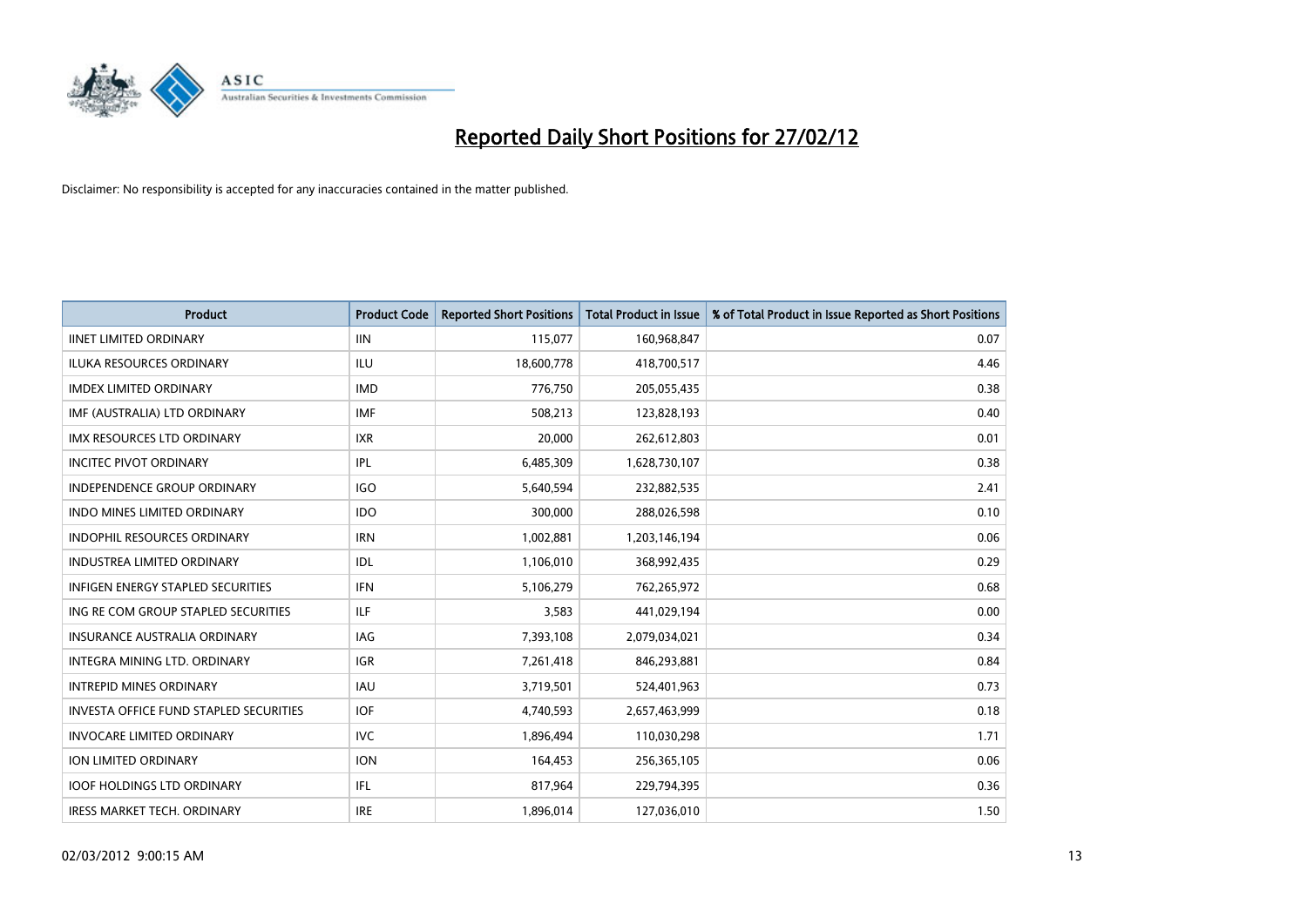

| <b>Product</b>                                | <b>Product Code</b> | <b>Reported Short Positions</b> | <b>Total Product in Issue</b> | % of Total Product in Issue Reported as Short Positions |
|-----------------------------------------------|---------------------|---------------------------------|-------------------------------|---------------------------------------------------------|
| <b>IINET LIMITED ORDINARY</b>                 | <b>IIN</b>          | 115,077                         | 160,968,847                   | 0.07                                                    |
| <b>ILUKA RESOURCES ORDINARY</b>               | <b>ILU</b>          | 18,600,778                      | 418,700,517                   | 4.46                                                    |
| <b>IMDEX LIMITED ORDINARY</b>                 | <b>IMD</b>          | 776,750                         | 205,055,435                   | 0.38                                                    |
| IMF (AUSTRALIA) LTD ORDINARY                  | <b>IMF</b>          | 508,213                         | 123,828,193                   | 0.40                                                    |
| <b>IMX RESOURCES LTD ORDINARY</b>             | <b>IXR</b>          | 20,000                          | 262,612,803                   | 0.01                                                    |
| <b>INCITEC PIVOT ORDINARY</b>                 | <b>IPL</b>          | 6,485,309                       | 1,628,730,107                 | 0.38                                                    |
| INDEPENDENCE GROUP ORDINARY                   | <b>IGO</b>          | 5,640,594                       | 232,882,535                   | 2.41                                                    |
| <b>INDO MINES LIMITED ORDINARY</b>            | <b>IDO</b>          | 300,000                         | 288,026,598                   | 0.10                                                    |
| INDOPHIL RESOURCES ORDINARY                   | <b>IRN</b>          | 1,002,881                       | 1,203,146,194                 | 0.06                                                    |
| <b>INDUSTREA LIMITED ORDINARY</b>             | <b>IDL</b>          | 1,106,010                       | 368,992,435                   | 0.29                                                    |
| <b>INFIGEN ENERGY STAPLED SECURITIES</b>      | <b>IFN</b>          | 5,106,279                       | 762,265,972                   | 0.68                                                    |
| ING RE COM GROUP STAPLED SECURITIES           | ILF                 | 3,583                           | 441,029,194                   | 0.00                                                    |
| <b>INSURANCE AUSTRALIA ORDINARY</b>           | IAG                 | 7,393,108                       | 2,079,034,021                 | 0.34                                                    |
| INTEGRA MINING LTD, ORDINARY                  | <b>IGR</b>          | 7,261,418                       | 846,293,881                   | 0.84                                                    |
| <b>INTREPID MINES ORDINARY</b>                | <b>IAU</b>          | 3,719,501                       | 524,401,963                   | 0.73                                                    |
| <b>INVESTA OFFICE FUND STAPLED SECURITIES</b> | <b>IOF</b>          | 4,740,593                       | 2,657,463,999                 | 0.18                                                    |
| <b>INVOCARE LIMITED ORDINARY</b>              | <b>IVC</b>          | 1,896,494                       | 110,030,298                   | 1.71                                                    |
| ION LIMITED ORDINARY                          | <b>ION</b>          | 164,453                         | 256,365,105                   | 0.06                                                    |
| <b>IOOF HOLDINGS LTD ORDINARY</b>             | IFL                 | 817,964                         | 229,794,395                   | 0.36                                                    |
| <b>IRESS MARKET TECH. ORDINARY</b>            | <b>IRE</b>          | 1,896,014                       | 127,036,010                   | 1.50                                                    |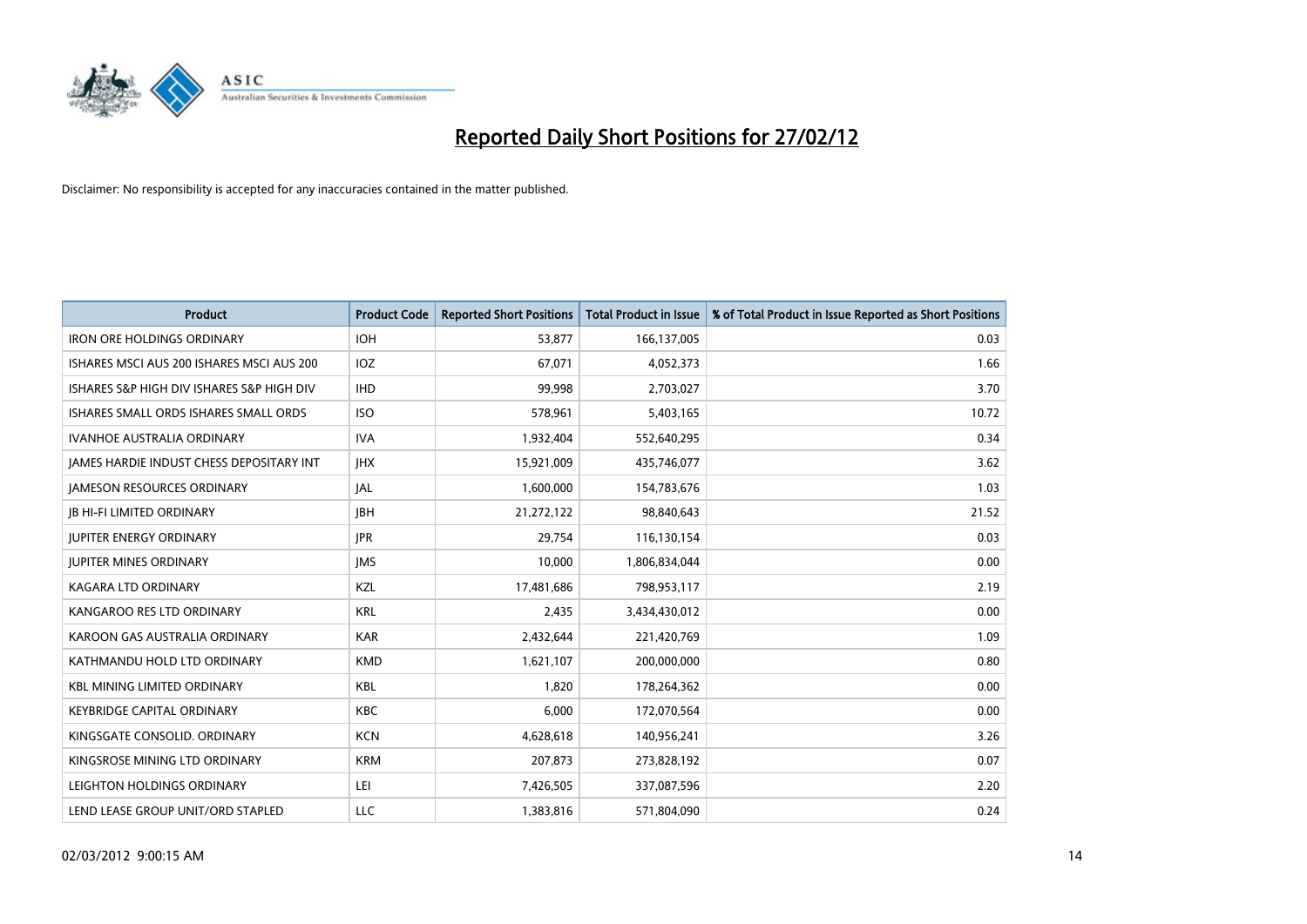

| <b>Product</b>                            | <b>Product Code</b> | <b>Reported Short Positions</b> | <b>Total Product in Issue</b> | % of Total Product in Issue Reported as Short Positions |
|-------------------------------------------|---------------------|---------------------------------|-------------------------------|---------------------------------------------------------|
| <b>IRON ORE HOLDINGS ORDINARY</b>         | <b>IOH</b>          | 53,877                          | 166,137,005                   | 0.03                                                    |
| ISHARES MSCI AUS 200 ISHARES MSCI AUS 200 | IOZ                 | 67,071                          | 4,052,373                     | 1.66                                                    |
| ISHARES S&P HIGH DIV ISHARES S&P HIGH DIV | <b>IHD</b>          | 99,998                          | 2,703,027                     | 3.70                                                    |
| ISHARES SMALL ORDS ISHARES SMALL ORDS     | <b>ISO</b>          | 578,961                         | 5,403,165                     | 10.72                                                   |
| <b>IVANHOE AUSTRALIA ORDINARY</b>         | <b>IVA</b>          | 1,932,404                       | 552,640,295                   | 0.34                                                    |
| JAMES HARDIE INDUST CHESS DEPOSITARY INT  | <b>IHX</b>          | 15,921,009                      | 435,746,077                   | 3.62                                                    |
| <b>JAMESON RESOURCES ORDINARY</b>         | JAL                 | 1,600,000                       | 154,783,676                   | 1.03                                                    |
| <b>JB HI-FI LIMITED ORDINARY</b>          | <b>IBH</b>          | 21,272,122                      | 98,840,643                    | 21.52                                                   |
| <b>JUPITER ENERGY ORDINARY</b>            | <b>JPR</b>          | 29,754                          | 116,130,154                   | 0.03                                                    |
| <b>JUPITER MINES ORDINARY</b>             | <b>IMS</b>          | 10,000                          | 1,806,834,044                 | 0.00                                                    |
| KAGARA LTD ORDINARY                       | KZL                 | 17,481,686                      | 798,953,117                   | 2.19                                                    |
| KANGAROO RES LTD ORDINARY                 | <b>KRL</b>          | 2,435                           | 3,434,430,012                 | 0.00                                                    |
| KAROON GAS AUSTRALIA ORDINARY             | <b>KAR</b>          | 2,432,644                       | 221,420,769                   | 1.09                                                    |
| KATHMANDU HOLD LTD ORDINARY               | <b>KMD</b>          | 1,621,107                       | 200,000,000                   | 0.80                                                    |
| <b>KBL MINING LIMITED ORDINARY</b>        | <b>KBL</b>          | 1,820                           | 178,264,362                   | 0.00                                                    |
| <b>KEYBRIDGE CAPITAL ORDINARY</b>         | KBC                 | 6,000                           | 172,070,564                   | 0.00                                                    |
| KINGSGATE CONSOLID. ORDINARY              | <b>KCN</b>          | 4,628,618                       | 140,956,241                   | 3.26                                                    |
| KINGSROSE MINING LTD ORDINARY             | <b>KRM</b>          | 207,873                         | 273,828,192                   | 0.07                                                    |
| LEIGHTON HOLDINGS ORDINARY                | LEI                 | 7,426,505                       | 337,087,596                   | 2.20                                                    |
| LEND LEASE GROUP UNIT/ORD STAPLED         | LLC                 | 1,383,816                       | 571,804,090                   | 0.24                                                    |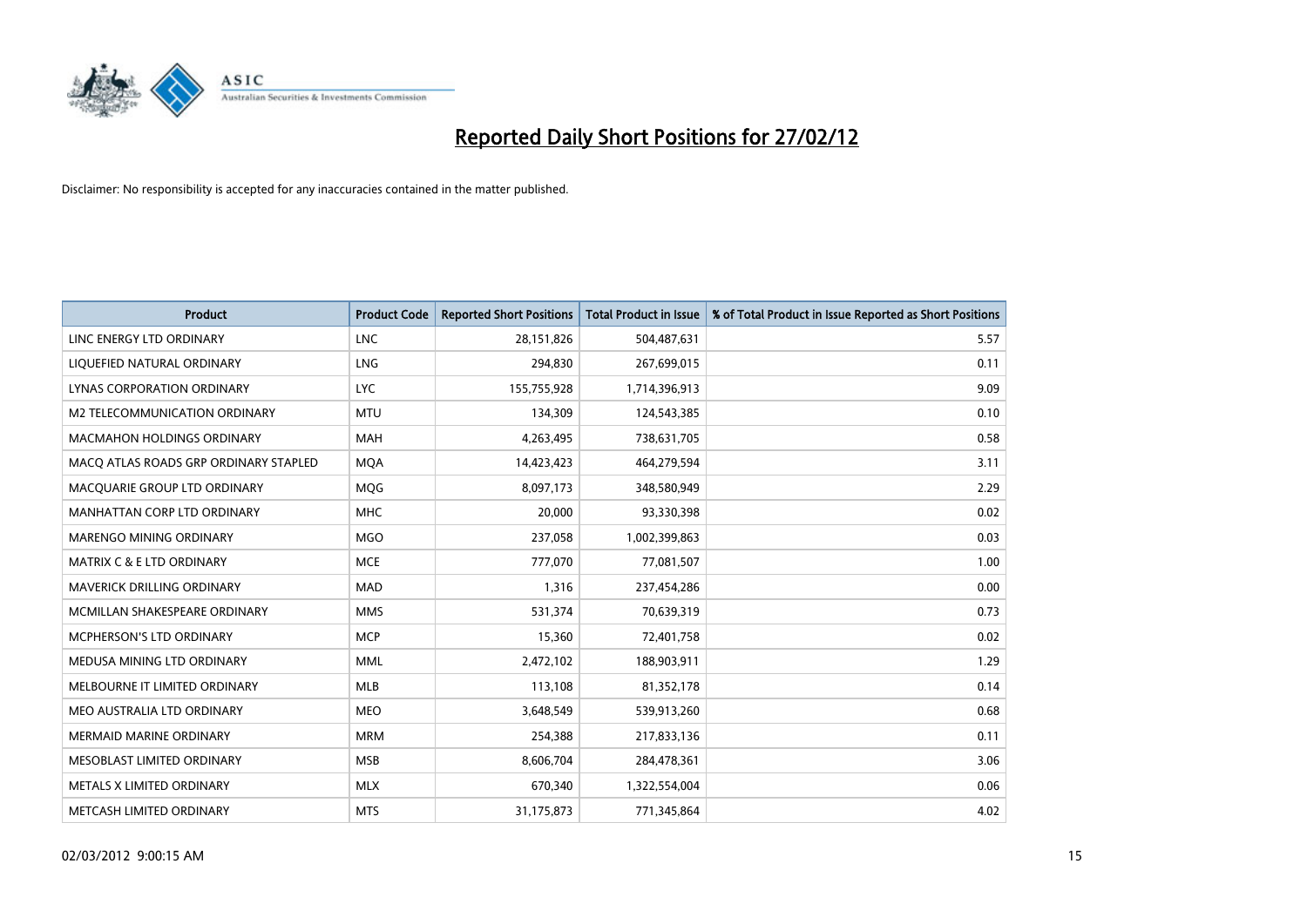

| <b>Product</b>                        | <b>Product Code</b> | <b>Reported Short Positions</b> | <b>Total Product in Issue</b> | % of Total Product in Issue Reported as Short Positions |
|---------------------------------------|---------------------|---------------------------------|-------------------------------|---------------------------------------------------------|
| LINC ENERGY LTD ORDINARY              | <b>LNC</b>          | 28,151,826                      | 504,487,631                   | 5.57                                                    |
| LIQUEFIED NATURAL ORDINARY            | <b>LNG</b>          | 294,830                         | 267,699,015                   | 0.11                                                    |
| <b>LYNAS CORPORATION ORDINARY</b>     | <b>LYC</b>          | 155,755,928                     | 1,714,396,913                 | 9.09                                                    |
| M2 TELECOMMUNICATION ORDINARY         | <b>MTU</b>          | 134,309                         | 124,543,385                   | 0.10                                                    |
| <b>MACMAHON HOLDINGS ORDINARY</b>     | <b>MAH</b>          | 4,263,495                       | 738,631,705                   | 0.58                                                    |
| MACO ATLAS ROADS GRP ORDINARY STAPLED | <b>MQA</b>          | 14,423,423                      | 464,279,594                   | 3.11                                                    |
| MACQUARIE GROUP LTD ORDINARY          | <b>MOG</b>          | 8,097,173                       | 348,580,949                   | 2.29                                                    |
| MANHATTAN CORP LTD ORDINARY           | <b>MHC</b>          | 20,000                          | 93,330,398                    | 0.02                                                    |
| MARENGO MINING ORDINARY               | <b>MGO</b>          | 237,058                         | 1,002,399,863                 | 0.03                                                    |
| <b>MATRIX C &amp; E LTD ORDINARY</b>  | <b>MCE</b>          | 777,070                         | 77,081,507                    | 1.00                                                    |
| MAVERICK DRILLING ORDINARY            | <b>MAD</b>          | 1,316                           | 237,454,286                   | 0.00                                                    |
| MCMILLAN SHAKESPEARE ORDINARY         | <b>MMS</b>          | 531,374                         | 70,639,319                    | 0.73                                                    |
| MCPHERSON'S LTD ORDINARY              | <b>MCP</b>          | 15,360                          | 72,401,758                    | 0.02                                                    |
| MEDUSA MINING LTD ORDINARY            | MML                 | 2,472,102                       | 188,903,911                   | 1.29                                                    |
| MELBOURNE IT LIMITED ORDINARY         | <b>MLB</b>          | 113,108                         | 81,352,178                    | 0.14                                                    |
| MEO AUSTRALIA LTD ORDINARY            | <b>MEO</b>          | 3,648,549                       | 539,913,260                   | 0.68                                                    |
| MERMAID MARINE ORDINARY               | <b>MRM</b>          | 254,388                         | 217,833,136                   | 0.11                                                    |
| MESOBLAST LIMITED ORDINARY            | <b>MSB</b>          | 8,606,704                       | 284,478,361                   | 3.06                                                    |
| METALS X LIMITED ORDINARY             | <b>MLX</b>          | 670,340                         | 1,322,554,004                 | 0.06                                                    |
| METCASH LIMITED ORDINARY              | <b>MTS</b>          | 31,175,873                      | 771,345,864                   | 4.02                                                    |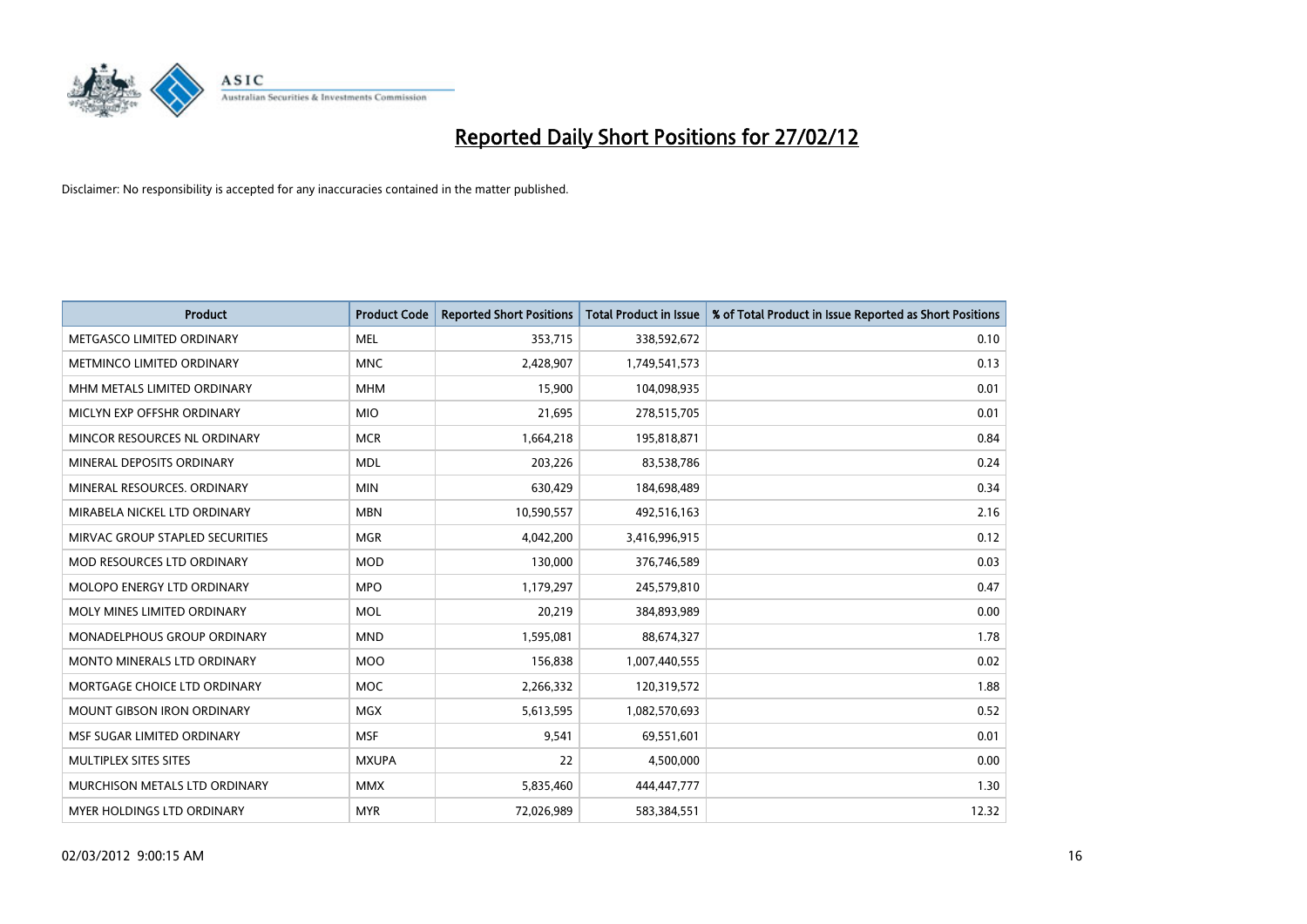

| <b>Product</b>                     | <b>Product Code</b> | <b>Reported Short Positions</b> | <b>Total Product in Issue</b> | % of Total Product in Issue Reported as Short Positions |
|------------------------------------|---------------------|---------------------------------|-------------------------------|---------------------------------------------------------|
| METGASCO LIMITED ORDINARY          | <b>MEL</b>          | 353,715                         | 338,592,672                   | 0.10                                                    |
| METMINCO LIMITED ORDINARY          | <b>MNC</b>          | 2,428,907                       | 1,749,541,573                 | 0.13                                                    |
| MHM METALS LIMITED ORDINARY        | <b>MHM</b>          | 15,900                          | 104,098,935                   | 0.01                                                    |
| MICLYN EXP OFFSHR ORDINARY         | <b>MIO</b>          | 21,695                          | 278,515,705                   | 0.01                                                    |
| MINCOR RESOURCES NL ORDINARY       | <b>MCR</b>          | 1,664,218                       | 195,818,871                   | 0.84                                                    |
| MINERAL DEPOSITS ORDINARY          | <b>MDL</b>          | 203,226                         | 83,538,786                    | 0.24                                                    |
| MINERAL RESOURCES, ORDINARY        | <b>MIN</b>          | 630,429                         | 184,698,489                   | 0.34                                                    |
| MIRABELA NICKEL LTD ORDINARY       | <b>MBN</b>          | 10,590,557                      | 492,516,163                   | 2.16                                                    |
| MIRVAC GROUP STAPLED SECURITIES    | <b>MGR</b>          | 4,042,200                       | 3,416,996,915                 | 0.12                                                    |
| <b>MOD RESOURCES LTD ORDINARY</b>  | <b>MOD</b>          | 130,000                         | 376,746,589                   | 0.03                                                    |
| MOLOPO ENERGY LTD ORDINARY         | <b>MPO</b>          | 1,179,297                       | 245,579,810                   | 0.47                                                    |
| MOLY MINES LIMITED ORDINARY        | <b>MOL</b>          | 20,219                          | 384,893,989                   | 0.00                                                    |
| MONADELPHOUS GROUP ORDINARY        | <b>MND</b>          | 1,595,081                       | 88,674,327                    | 1.78                                                    |
| <b>MONTO MINERALS LTD ORDINARY</b> | <b>MOO</b>          | 156,838                         | 1,007,440,555                 | 0.02                                                    |
| MORTGAGE CHOICE LTD ORDINARY       | <b>MOC</b>          | 2,266,332                       | 120,319,572                   | 1.88                                                    |
| MOUNT GIBSON IRON ORDINARY         | MGX                 | 5,613,595                       | 1,082,570,693                 | 0.52                                                    |
| MSF SUGAR LIMITED ORDINARY         | <b>MSF</b>          | 9,541                           | 69,551,601                    | 0.01                                                    |
| MULTIPLEX SITES SITES              | <b>MXUPA</b>        | 22                              | 4,500,000                     | 0.00                                                    |
| MURCHISON METALS LTD ORDINARY      | <b>MMX</b>          | 5,835,460                       | 444,447,777                   | 1.30                                                    |
| MYER HOLDINGS LTD ORDINARY         | <b>MYR</b>          | 72,026,989                      | 583,384,551                   | 12.32                                                   |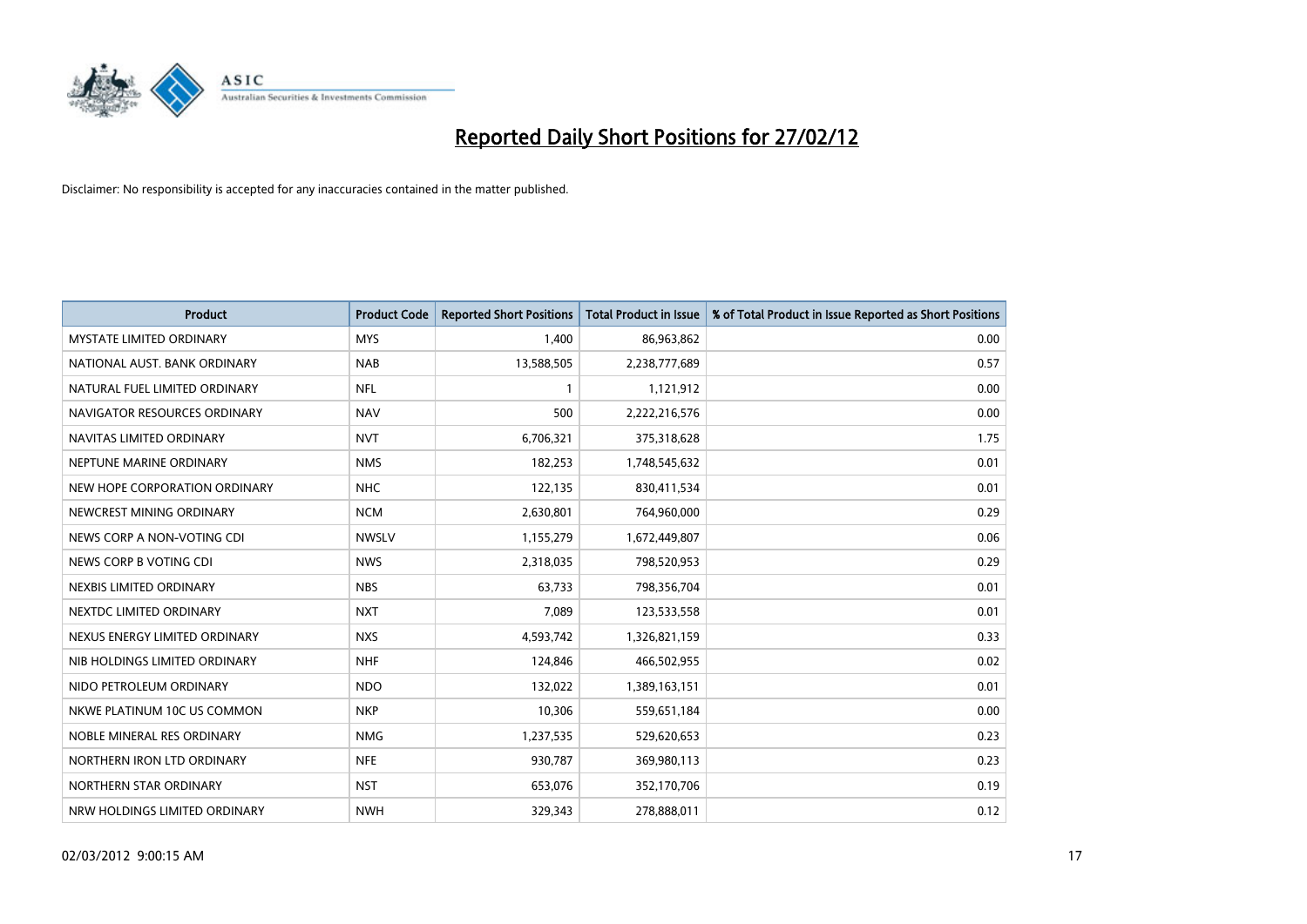

| <b>Product</b>                  | <b>Product Code</b> | <b>Reported Short Positions</b> | <b>Total Product in Issue</b> | % of Total Product in Issue Reported as Short Positions |
|---------------------------------|---------------------|---------------------------------|-------------------------------|---------------------------------------------------------|
| <b>MYSTATE LIMITED ORDINARY</b> | <b>MYS</b>          | 1,400                           | 86,963,862                    | 0.00                                                    |
| NATIONAL AUST. BANK ORDINARY    | <b>NAB</b>          | 13,588,505                      | 2,238,777,689                 | 0.57                                                    |
| NATURAL FUEL LIMITED ORDINARY   | NFL                 | $\mathbf{1}$                    | 1,121,912                     | 0.00                                                    |
| NAVIGATOR RESOURCES ORDINARY    | <b>NAV</b>          | 500                             | 2,222,216,576                 | 0.00                                                    |
| NAVITAS LIMITED ORDINARY        | <b>NVT</b>          | 6,706,321                       | 375,318,628                   | 1.75                                                    |
| NEPTUNE MARINE ORDINARY         | <b>NMS</b>          | 182,253                         | 1,748,545,632                 | 0.01                                                    |
| NEW HOPE CORPORATION ORDINARY   | NHC                 | 122,135                         | 830,411,534                   | 0.01                                                    |
| NEWCREST MINING ORDINARY        | <b>NCM</b>          | 2,630,801                       | 764,960,000                   | 0.29                                                    |
| NEWS CORP A NON-VOTING CDI      | <b>NWSLV</b>        | 1,155,279                       | 1,672,449,807                 | 0.06                                                    |
| NEWS CORP B VOTING CDI          | <b>NWS</b>          | 2,318,035                       | 798,520,953                   | 0.29                                                    |
| NEXBIS LIMITED ORDINARY         | <b>NBS</b>          | 63,733                          | 798,356,704                   | 0.01                                                    |
| NEXTDC LIMITED ORDINARY         | <b>NXT</b>          | 7,089                           | 123,533,558                   | 0.01                                                    |
| NEXUS ENERGY LIMITED ORDINARY   | <b>NXS</b>          | 4,593,742                       | 1,326,821,159                 | 0.33                                                    |
| NIB HOLDINGS LIMITED ORDINARY   | <b>NHF</b>          | 124,846                         | 466,502,955                   | 0.02                                                    |
| NIDO PETROLEUM ORDINARY         | <b>NDO</b>          | 132,022                         | 1,389,163,151                 | 0.01                                                    |
| NKWE PLATINUM 10C US COMMON     | <b>NKP</b>          | 10,306                          | 559,651,184                   | 0.00                                                    |
| NOBLE MINERAL RES ORDINARY      | <b>NMG</b>          | 1,237,535                       | 529,620,653                   | 0.23                                                    |
| NORTHERN IRON LTD ORDINARY      | <b>NFE</b>          | 930,787                         | 369,980,113                   | 0.23                                                    |
| NORTHERN STAR ORDINARY          | <b>NST</b>          | 653,076                         | 352,170,706                   | 0.19                                                    |
| NRW HOLDINGS LIMITED ORDINARY   | <b>NWH</b>          | 329,343                         | 278,888,011                   | 0.12                                                    |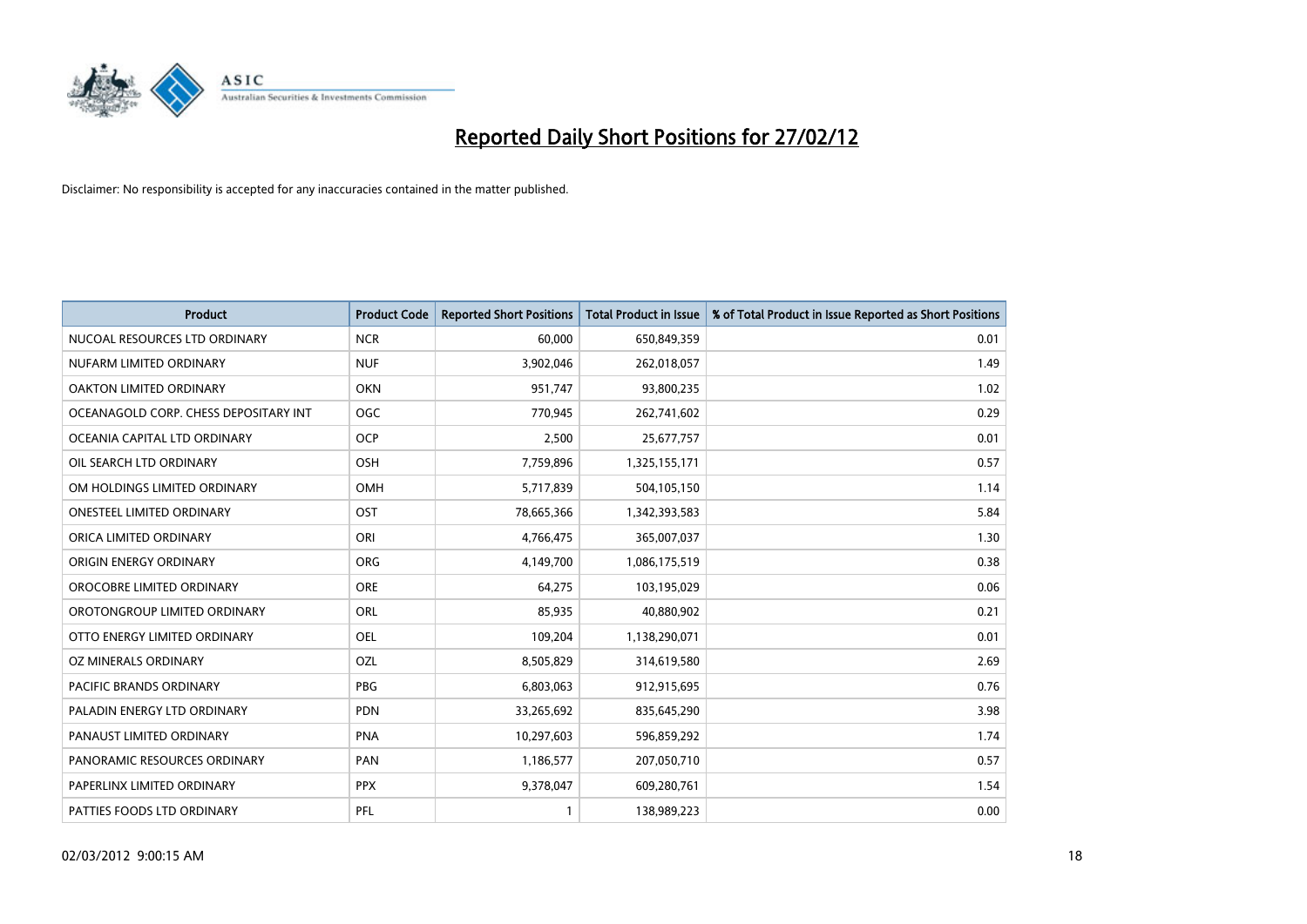

| <b>Product</b>                        | <b>Product Code</b> | <b>Reported Short Positions</b> | <b>Total Product in Issue</b> | % of Total Product in Issue Reported as Short Positions |
|---------------------------------------|---------------------|---------------------------------|-------------------------------|---------------------------------------------------------|
| NUCOAL RESOURCES LTD ORDINARY         | <b>NCR</b>          | 60,000                          | 650,849,359                   | 0.01                                                    |
| NUFARM LIMITED ORDINARY               | <b>NUF</b>          | 3,902,046                       | 262,018,057                   | 1.49                                                    |
| OAKTON LIMITED ORDINARY               | <b>OKN</b>          | 951,747                         | 93,800,235                    | 1.02                                                    |
| OCEANAGOLD CORP. CHESS DEPOSITARY INT | <b>OGC</b>          | 770,945                         | 262,741,602                   | 0.29                                                    |
| OCEANIA CAPITAL LTD ORDINARY          | <b>OCP</b>          | 2,500                           | 25,677,757                    | 0.01                                                    |
| OIL SEARCH LTD ORDINARY               | OSH                 | 7,759,896                       | 1,325,155,171                 | 0.57                                                    |
| OM HOLDINGS LIMITED ORDINARY          | OMH                 | 5,717,839                       | 504,105,150                   | 1.14                                                    |
| <b>ONESTEEL LIMITED ORDINARY</b>      | OST                 | 78,665,366                      | 1,342,393,583                 | 5.84                                                    |
| ORICA LIMITED ORDINARY                | ORI                 | 4,766,475                       | 365,007,037                   | 1.30                                                    |
| ORIGIN ENERGY ORDINARY                | ORG                 | 4,149,700                       | 1,086,175,519                 | 0.38                                                    |
| OROCOBRE LIMITED ORDINARY             | <b>ORE</b>          | 64,275                          | 103,195,029                   | 0.06                                                    |
| OROTONGROUP LIMITED ORDINARY          | ORL                 | 85,935                          | 40,880,902                    | 0.21                                                    |
| OTTO ENERGY LIMITED ORDINARY          | <b>OEL</b>          | 109,204                         | 1,138,290,071                 | 0.01                                                    |
| OZ MINERALS ORDINARY                  | <b>OZL</b>          | 8,505,829                       | 314,619,580                   | 2.69                                                    |
| <b>PACIFIC BRANDS ORDINARY</b>        | <b>PBG</b>          | 6,803,063                       | 912,915,695                   | 0.76                                                    |
| PALADIN ENERGY LTD ORDINARY           | <b>PDN</b>          | 33,265,692                      | 835,645,290                   | 3.98                                                    |
| PANAUST LIMITED ORDINARY              | <b>PNA</b>          | 10,297,603                      | 596,859,292                   | 1.74                                                    |
| PANORAMIC RESOURCES ORDINARY          | <b>PAN</b>          | 1,186,577                       | 207,050,710                   | 0.57                                                    |
| PAPERLINX LIMITED ORDINARY            | <b>PPX</b>          | 9,378,047                       | 609,280,761                   | 1.54                                                    |
| PATTIES FOODS LTD ORDINARY            | PFL                 |                                 | 138,989,223                   | 0.00                                                    |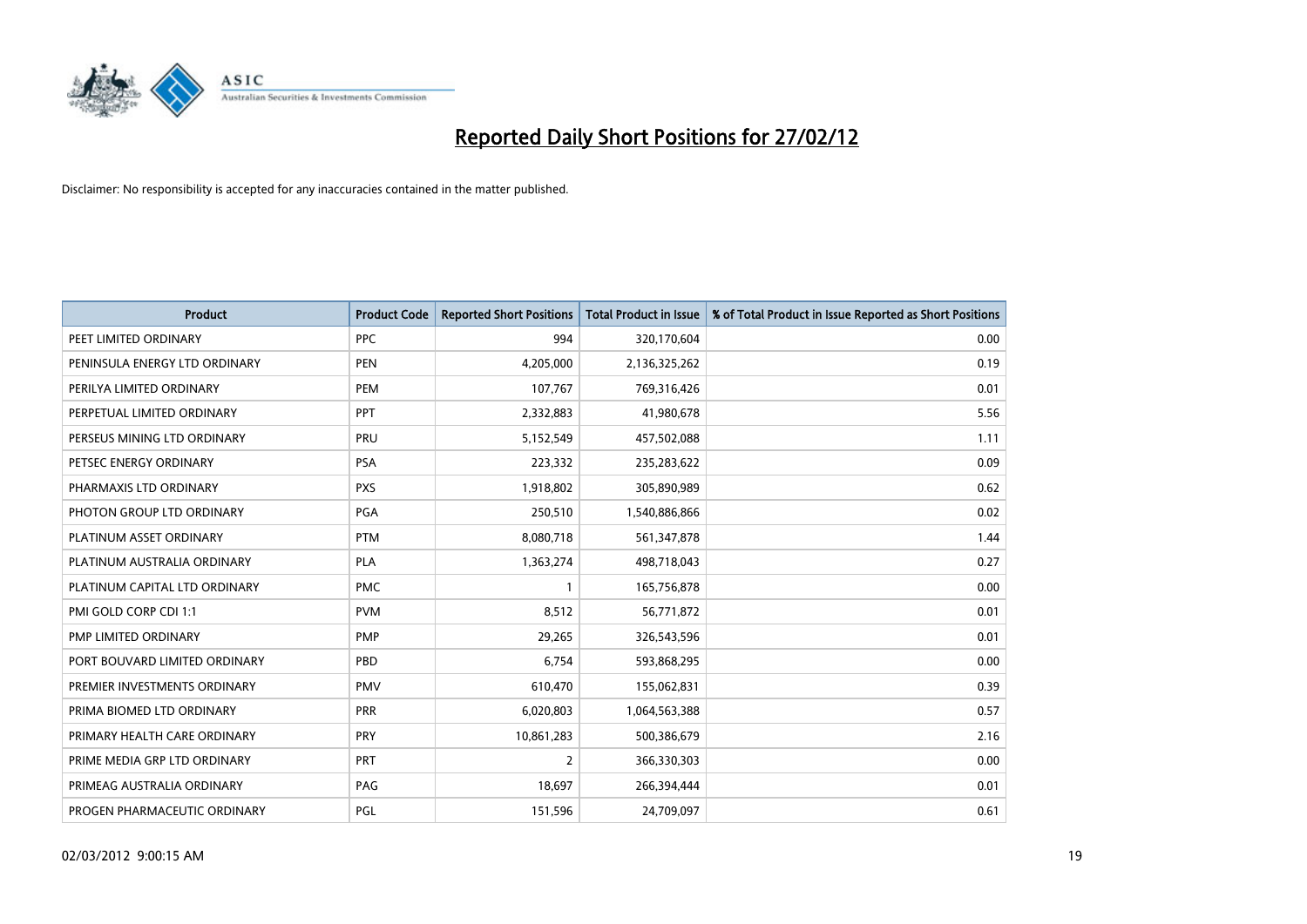

| <b>Product</b>                | <b>Product Code</b> | <b>Reported Short Positions</b> | <b>Total Product in Issue</b> | % of Total Product in Issue Reported as Short Positions |
|-------------------------------|---------------------|---------------------------------|-------------------------------|---------------------------------------------------------|
| PEET LIMITED ORDINARY         | <b>PPC</b>          | 994                             | 320,170,604                   | 0.00                                                    |
| PENINSULA ENERGY LTD ORDINARY | <b>PEN</b>          | 4,205,000                       | 2,136,325,262                 | 0.19                                                    |
| PERILYA LIMITED ORDINARY      | <b>PEM</b>          | 107,767                         | 769,316,426                   | 0.01                                                    |
| PERPETUAL LIMITED ORDINARY    | PPT                 | 2,332,883                       | 41,980,678                    | 5.56                                                    |
| PERSEUS MINING LTD ORDINARY   | PRU                 | 5,152,549                       | 457,502,088                   | 1.11                                                    |
| PETSEC ENERGY ORDINARY        | <b>PSA</b>          | 223,332                         | 235,283,622                   | 0.09                                                    |
| PHARMAXIS LTD ORDINARY        | <b>PXS</b>          | 1,918,802                       | 305,890,989                   | 0.62                                                    |
| PHOTON GROUP LTD ORDINARY     | PGA                 | 250,510                         | 1,540,886,866                 | 0.02                                                    |
| PLATINUM ASSET ORDINARY       | <b>PTM</b>          | 8,080,718                       | 561,347,878                   | 1.44                                                    |
| PLATINUM AUSTRALIA ORDINARY   | PLA                 | 1,363,274                       | 498,718,043                   | 0.27                                                    |
| PLATINUM CAPITAL LTD ORDINARY | <b>PMC</b>          | $\mathbf{1}$                    | 165,756,878                   | 0.00                                                    |
| PMI GOLD CORP CDI 1:1         | <b>PVM</b>          | 8,512                           | 56,771,872                    | 0.01                                                    |
| PMP LIMITED ORDINARY          | <b>PMP</b>          | 29,265                          | 326,543,596                   | 0.01                                                    |
| PORT BOUVARD LIMITED ORDINARY | PBD                 | 6,754                           | 593,868,295                   | 0.00                                                    |
| PREMIER INVESTMENTS ORDINARY  | <b>PMV</b>          | 610,470                         | 155,062,831                   | 0.39                                                    |
| PRIMA BIOMED LTD ORDINARY     | <b>PRR</b>          | 6,020,803                       | 1,064,563,388                 | 0.57                                                    |
| PRIMARY HEALTH CARE ORDINARY  | <b>PRY</b>          | 10,861,283                      | 500,386,679                   | 2.16                                                    |
| PRIME MEDIA GRP LTD ORDINARY  | <b>PRT</b>          | 2                               | 366,330,303                   | 0.00                                                    |
| PRIMEAG AUSTRALIA ORDINARY    | PAG                 | 18,697                          | 266,394,444                   | 0.01                                                    |
| PROGEN PHARMACEUTIC ORDINARY  | PGL                 | 151,596                         | 24,709,097                    | 0.61                                                    |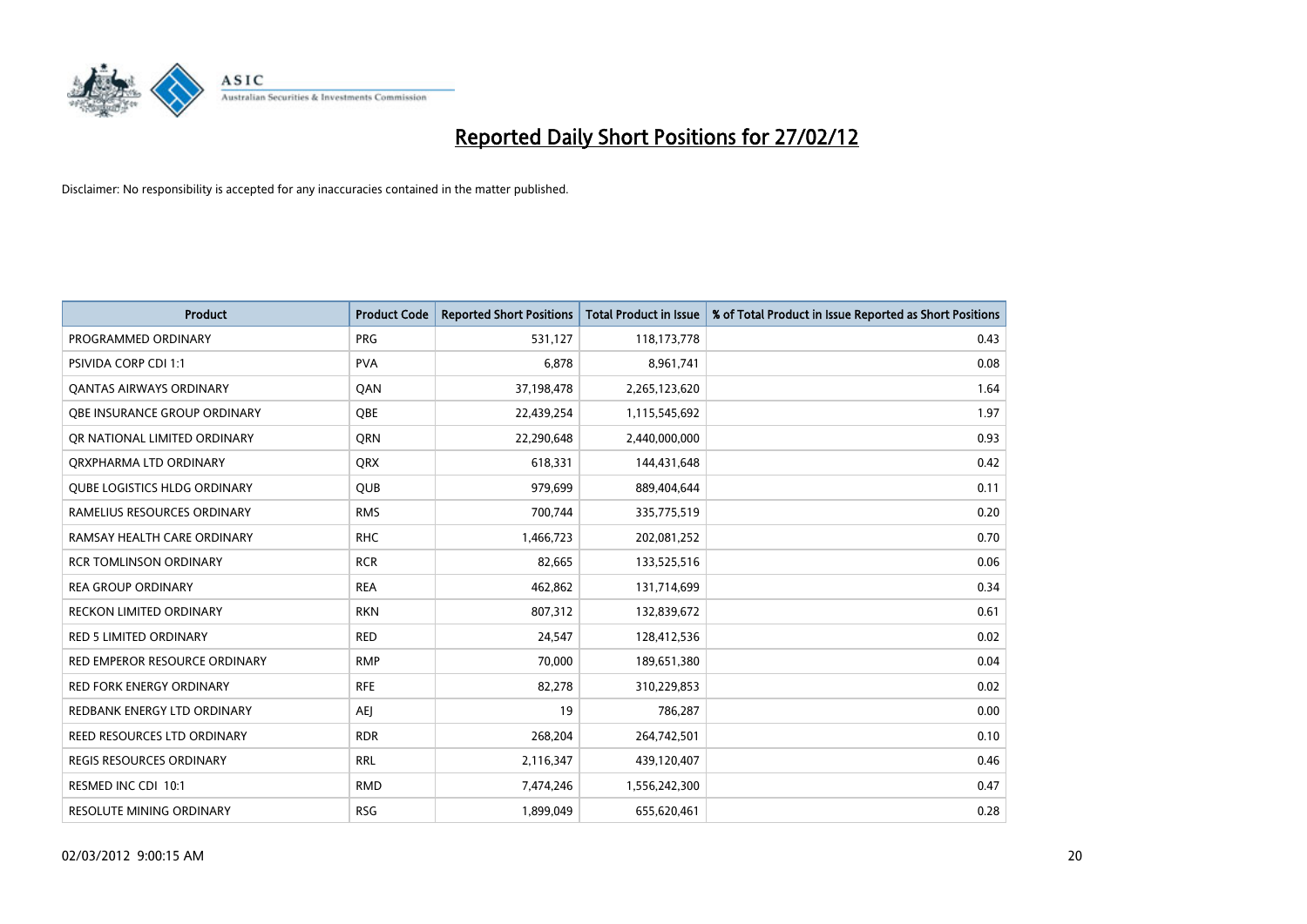

| <b>Product</b>                      | <b>Product Code</b> | <b>Reported Short Positions</b> | <b>Total Product in Issue</b> | % of Total Product in Issue Reported as Short Positions |
|-------------------------------------|---------------------|---------------------------------|-------------------------------|---------------------------------------------------------|
| PROGRAMMED ORDINARY                 | <b>PRG</b>          | 531,127                         | 118,173,778                   | 0.43                                                    |
| PSIVIDA CORP CDI 1:1                | <b>PVA</b>          | 6,878                           | 8,961,741                     | 0.08                                                    |
| <b>QANTAS AIRWAYS ORDINARY</b>      | QAN                 | 37,198,478                      | 2,265,123,620                 | 1.64                                                    |
| OBE INSURANCE GROUP ORDINARY        | <b>OBE</b>          | 22,439,254                      | 1,115,545,692                 | 1.97                                                    |
| OR NATIONAL LIMITED ORDINARY        | <b>ORN</b>          | 22,290,648                      | 2,440,000,000                 | 0.93                                                    |
| ORXPHARMA LTD ORDINARY              | <b>QRX</b>          | 618,331                         | 144,431,648                   | 0.42                                                    |
| <b>QUBE LOGISTICS HLDG ORDINARY</b> | QUB                 | 979,699                         | 889,404,644                   | 0.11                                                    |
| RAMELIUS RESOURCES ORDINARY         | <b>RMS</b>          | 700,744                         | 335,775,519                   | 0.20                                                    |
| RAMSAY HEALTH CARE ORDINARY         | <b>RHC</b>          | 1,466,723                       | 202,081,252                   | 0.70                                                    |
| <b>RCR TOMLINSON ORDINARY</b>       | <b>RCR</b>          | 82,665                          | 133,525,516                   | 0.06                                                    |
| <b>REA GROUP ORDINARY</b>           | <b>REA</b>          | 462,862                         | 131,714,699                   | 0.34                                                    |
| <b>RECKON LIMITED ORDINARY</b>      | <b>RKN</b>          | 807,312                         | 132,839,672                   | 0.61                                                    |
| RED 5 LIMITED ORDINARY              | <b>RED</b>          | 24,547                          | 128,412,536                   | 0.02                                                    |
| RED EMPEROR RESOURCE ORDINARY       | <b>RMP</b>          | 70,000                          | 189,651,380                   | 0.04                                                    |
| <b>RED FORK ENERGY ORDINARY</b>     | <b>RFE</b>          | 82,278                          | 310,229,853                   | 0.02                                                    |
| REDBANK ENERGY LTD ORDINARY         | AEJ                 | 19                              | 786,287                       | 0.00                                                    |
| REED RESOURCES LTD ORDINARY         | <b>RDR</b>          | 268,204                         | 264,742,501                   | 0.10                                                    |
| <b>REGIS RESOURCES ORDINARY</b>     | <b>RRL</b>          | 2,116,347                       | 439,120,407                   | 0.46                                                    |
| RESMED INC CDI 10:1                 | <b>RMD</b>          | 7,474,246                       | 1,556,242,300                 | 0.47                                                    |
| <b>RESOLUTE MINING ORDINARY</b>     | <b>RSG</b>          | 1,899,049                       | 655,620,461                   | 0.28                                                    |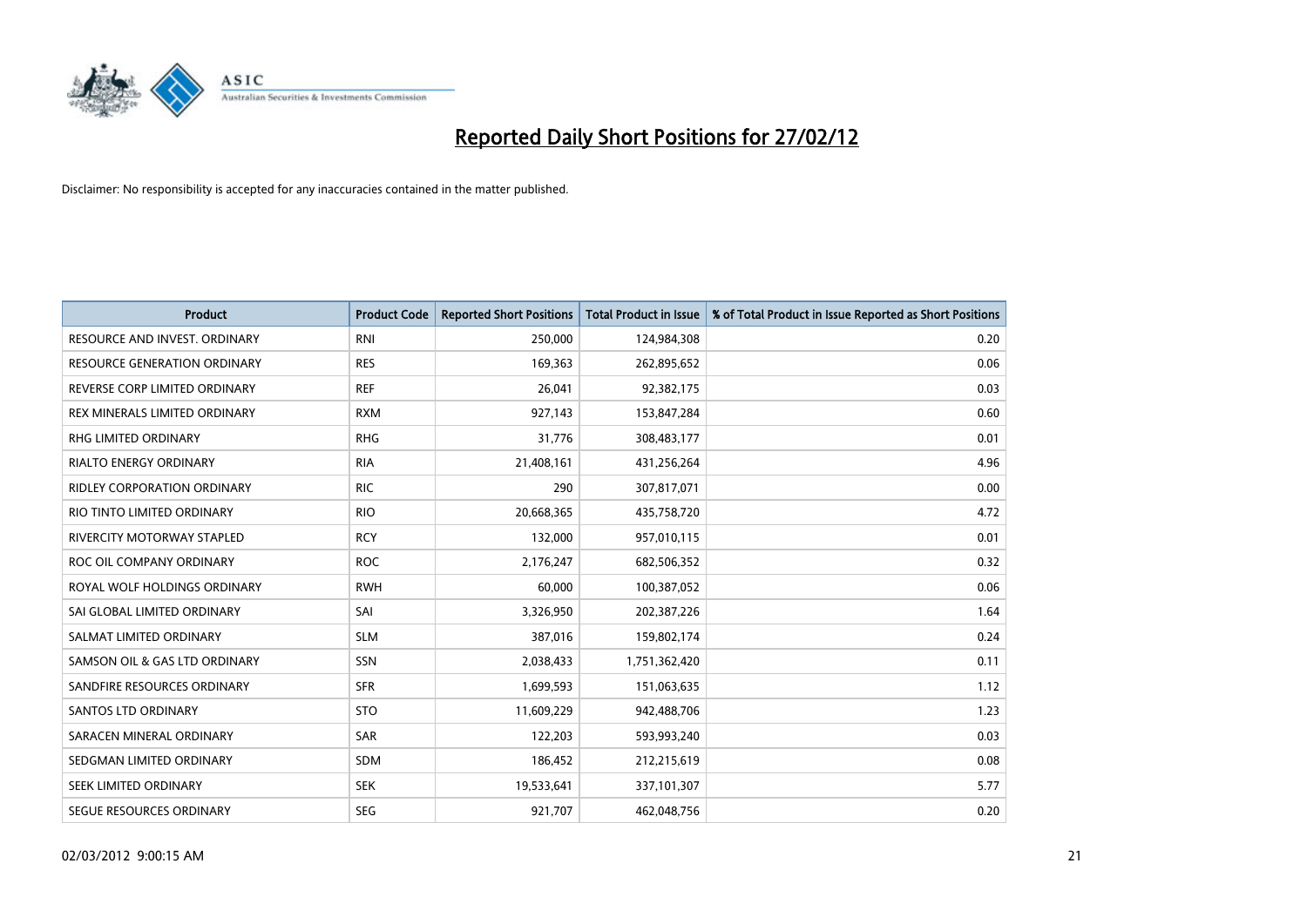

| <b>Product</b>                    | <b>Product Code</b> | <b>Reported Short Positions</b> | <b>Total Product in Issue</b> | % of Total Product in Issue Reported as Short Positions |
|-----------------------------------|---------------------|---------------------------------|-------------------------------|---------------------------------------------------------|
| RESOURCE AND INVEST. ORDINARY     | <b>RNI</b>          | 250,000                         | 124,984,308                   | 0.20                                                    |
| RESOURCE GENERATION ORDINARY      | <b>RES</b>          | 169,363                         | 262,895,652                   | 0.06                                                    |
| REVERSE CORP LIMITED ORDINARY     | <b>REF</b>          | 26,041                          | 92,382,175                    | 0.03                                                    |
| REX MINERALS LIMITED ORDINARY     | <b>RXM</b>          | 927,143                         | 153,847,284                   | 0.60                                                    |
| <b>RHG LIMITED ORDINARY</b>       | <b>RHG</b>          | 31,776                          | 308,483,177                   | 0.01                                                    |
| <b>RIALTO ENERGY ORDINARY</b>     | <b>RIA</b>          | 21,408,161                      | 431,256,264                   | 4.96                                                    |
| RIDLEY CORPORATION ORDINARY       | <b>RIC</b>          | 290                             | 307,817,071                   | 0.00                                                    |
| RIO TINTO LIMITED ORDINARY        | <b>RIO</b>          | 20,668,365                      | 435,758,720                   | 4.72                                                    |
| <b>RIVERCITY MOTORWAY STAPLED</b> | <b>RCY</b>          | 132,000                         | 957,010,115                   | 0.01                                                    |
| ROC OIL COMPANY ORDINARY          | <b>ROC</b>          | 2,176,247                       | 682,506,352                   | 0.32                                                    |
| ROYAL WOLF HOLDINGS ORDINARY      | <b>RWH</b>          | 60,000                          | 100,387,052                   | 0.06                                                    |
| SAI GLOBAL LIMITED ORDINARY       | SAI                 | 3,326,950                       | 202,387,226                   | 1.64                                                    |
| SALMAT LIMITED ORDINARY           | <b>SLM</b>          | 387,016                         | 159,802,174                   | 0.24                                                    |
| SAMSON OIL & GAS LTD ORDINARY     | SSN                 | 2,038,433                       | 1,751,362,420                 | 0.11                                                    |
| SANDFIRE RESOURCES ORDINARY       | <b>SFR</b>          | 1,699,593                       | 151,063,635                   | 1.12                                                    |
| SANTOS LTD ORDINARY               | <b>STO</b>          | 11,609,229                      | 942,488,706                   | 1.23                                                    |
| SARACEN MINERAL ORDINARY          | SAR                 | 122,203                         | 593,993,240                   | 0.03                                                    |
| SEDGMAN LIMITED ORDINARY          | SDM                 | 186,452                         | 212,215,619                   | 0.08                                                    |
| SEEK LIMITED ORDINARY             | <b>SEK</b>          | 19,533,641                      | 337,101,307                   | 5.77                                                    |
| SEGUE RESOURCES ORDINARY          | <b>SEG</b>          | 921,707                         | 462,048,756                   | 0.20                                                    |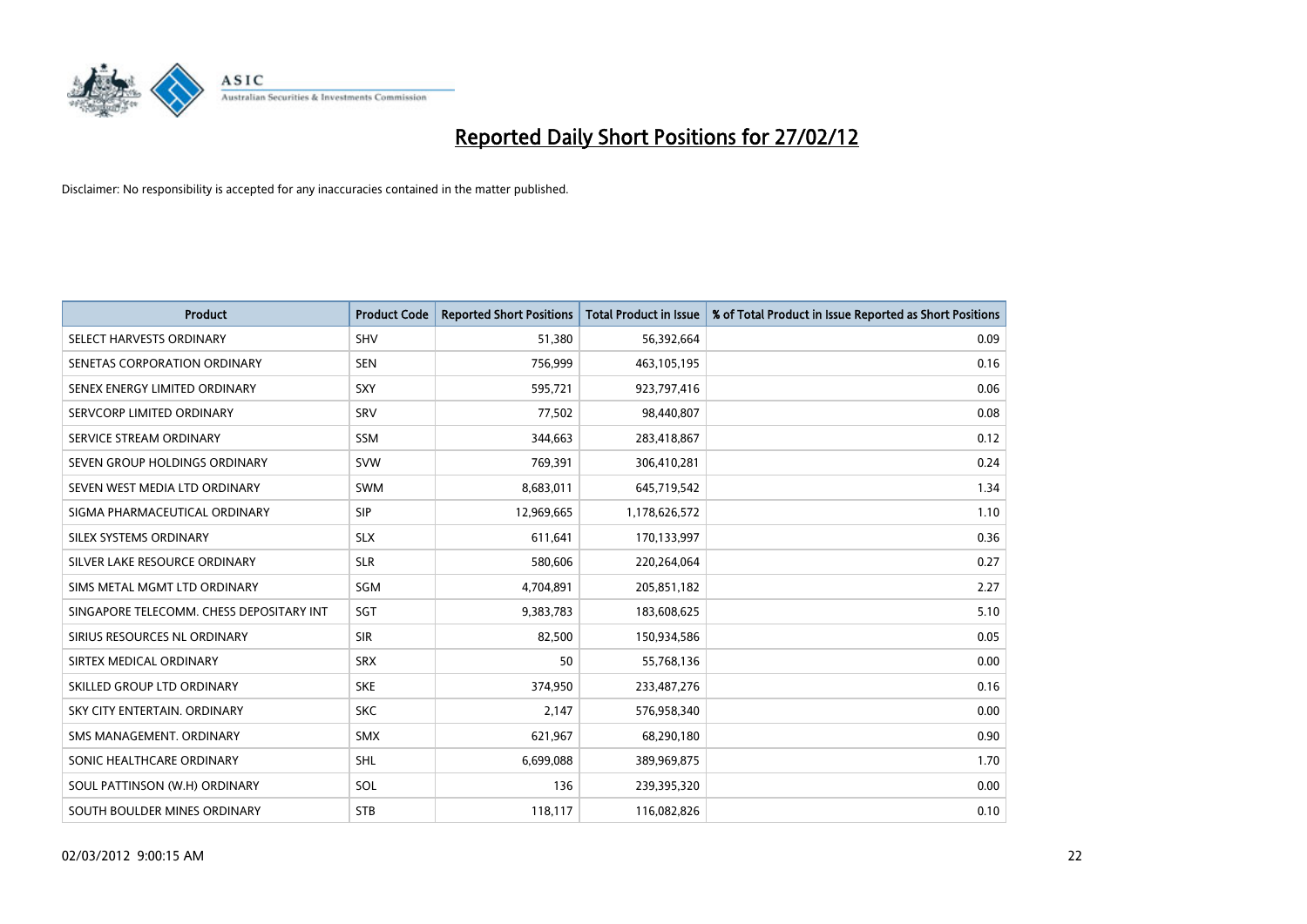

| <b>Product</b>                           | <b>Product Code</b> | <b>Reported Short Positions</b> | <b>Total Product in Issue</b> | % of Total Product in Issue Reported as Short Positions |
|------------------------------------------|---------------------|---------------------------------|-------------------------------|---------------------------------------------------------|
| SELECT HARVESTS ORDINARY                 | SHV                 | 51,380                          | 56,392,664                    | 0.09                                                    |
| SENETAS CORPORATION ORDINARY             | <b>SEN</b>          | 756,999                         | 463,105,195                   | 0.16                                                    |
| SENEX ENERGY LIMITED ORDINARY            | <b>SXY</b>          | 595,721                         | 923,797,416                   | 0.06                                                    |
| SERVCORP LIMITED ORDINARY                | SRV                 | 77,502                          | 98,440,807                    | 0.08                                                    |
| SERVICE STREAM ORDINARY                  | <b>SSM</b>          | 344,663                         | 283,418,867                   | 0.12                                                    |
| SEVEN GROUP HOLDINGS ORDINARY            | <b>SVW</b>          | 769,391                         | 306,410,281                   | 0.24                                                    |
| SEVEN WEST MEDIA LTD ORDINARY            | <b>SWM</b>          | 8,683,011                       | 645,719,542                   | 1.34                                                    |
| SIGMA PHARMACEUTICAL ORDINARY            | <b>SIP</b>          | 12,969,665                      | 1,178,626,572                 | 1.10                                                    |
| SILEX SYSTEMS ORDINARY                   | <b>SLX</b>          | 611,641                         | 170,133,997                   | 0.36                                                    |
| SILVER LAKE RESOURCE ORDINARY            | <b>SLR</b>          | 580,606                         | 220,264,064                   | 0.27                                                    |
| SIMS METAL MGMT LTD ORDINARY             | SGM                 | 4,704,891                       | 205,851,182                   | 2.27                                                    |
| SINGAPORE TELECOMM. CHESS DEPOSITARY INT | SGT                 | 9,383,783                       | 183,608,625                   | 5.10                                                    |
| SIRIUS RESOURCES NL ORDINARY             | <b>SIR</b>          | 82,500                          | 150,934,586                   | 0.05                                                    |
| SIRTEX MEDICAL ORDINARY                  | <b>SRX</b>          | 50                              | 55,768,136                    | 0.00                                                    |
| SKILLED GROUP LTD ORDINARY               | <b>SKE</b>          | 374,950                         | 233,487,276                   | 0.16                                                    |
| SKY CITY ENTERTAIN, ORDINARY             | <b>SKC</b>          | 2,147                           | 576,958,340                   | 0.00                                                    |
| SMS MANAGEMENT, ORDINARY                 | <b>SMX</b>          | 621,967                         | 68,290,180                    | 0.90                                                    |
| SONIC HEALTHCARE ORDINARY                | SHL                 | 6,699,088                       | 389,969,875                   | 1.70                                                    |
| SOUL PATTINSON (W.H) ORDINARY            | SOL                 | 136                             | 239,395,320                   | 0.00                                                    |
| SOUTH BOULDER MINES ORDINARY             | <b>STB</b>          | 118,117                         | 116,082,826                   | 0.10                                                    |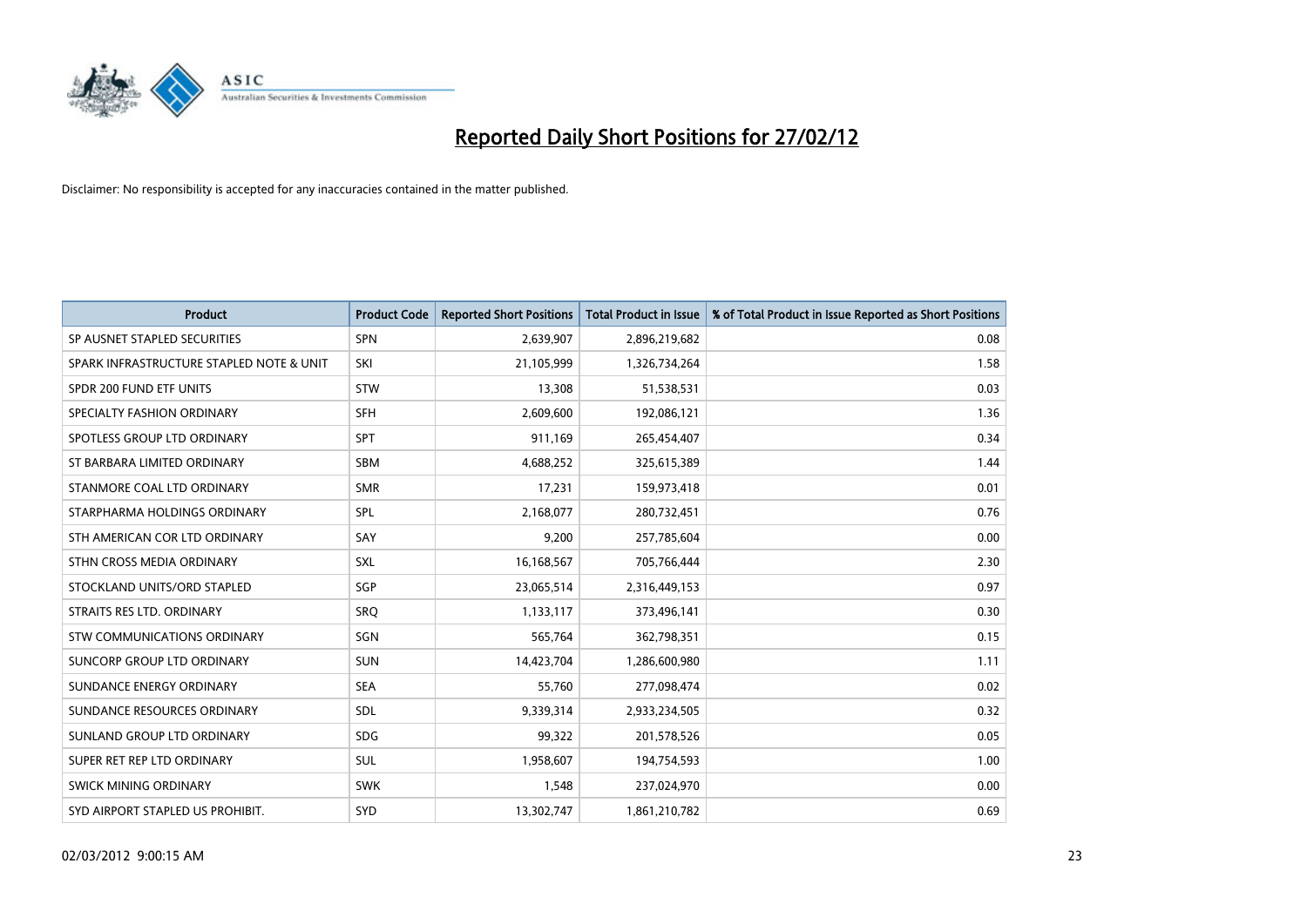

| <b>Product</b>                           | <b>Product Code</b> | <b>Reported Short Positions</b> | <b>Total Product in Issue</b> | % of Total Product in Issue Reported as Short Positions |
|------------------------------------------|---------------------|---------------------------------|-------------------------------|---------------------------------------------------------|
| SP AUSNET STAPLED SECURITIES             | <b>SPN</b>          | 2,639,907                       | 2,896,219,682                 | 0.08                                                    |
| SPARK INFRASTRUCTURE STAPLED NOTE & UNIT | SKI                 | 21,105,999                      | 1,326,734,264                 | 1.58                                                    |
| SPDR 200 FUND ETF UNITS                  | <b>STW</b>          | 13,308                          | 51,538,531                    | 0.03                                                    |
| SPECIALTY FASHION ORDINARY               | <b>SFH</b>          | 2,609,600                       | 192,086,121                   | 1.36                                                    |
| SPOTLESS GROUP LTD ORDINARY              | SPT                 | 911,169                         | 265,454,407                   | 0.34                                                    |
| ST BARBARA LIMITED ORDINARY              | SBM                 | 4,688,252                       | 325,615,389                   | 1.44                                                    |
| STANMORE COAL LTD ORDINARY               | <b>SMR</b>          | 17,231                          | 159,973,418                   | 0.01                                                    |
| STARPHARMA HOLDINGS ORDINARY             | SPL                 | 2,168,077                       | 280,732,451                   | 0.76                                                    |
| STH AMERICAN COR LTD ORDINARY            | SAY                 | 9,200                           | 257,785,604                   | 0.00                                                    |
| STHN CROSS MEDIA ORDINARY                | <b>SXL</b>          | 16,168,567                      | 705,766,444                   | 2.30                                                    |
| STOCKLAND UNITS/ORD STAPLED              | <b>SGP</b>          | 23,065,514                      | 2,316,449,153                 | 0.97                                                    |
| STRAITS RES LTD. ORDINARY                | SRQ                 | 1,133,117                       | 373,496,141                   | 0.30                                                    |
| STW COMMUNICATIONS ORDINARY              | SGN                 | 565,764                         | 362,798,351                   | 0.15                                                    |
| <b>SUNCORP GROUP LTD ORDINARY</b>        | <b>SUN</b>          | 14,423,704                      | 1,286,600,980                 | 1.11                                                    |
| SUNDANCE ENERGY ORDINARY                 | <b>SEA</b>          | 55,760                          | 277,098,474                   | 0.02                                                    |
| SUNDANCE RESOURCES ORDINARY              | SDL                 | 9,339,314                       | 2,933,234,505                 | 0.32                                                    |
| SUNLAND GROUP LTD ORDINARY               | <b>SDG</b>          | 99,322                          | 201,578,526                   | 0.05                                                    |
| SUPER RET REP LTD ORDINARY               | SUL                 | 1,958,607                       | 194,754,593                   | 1.00                                                    |
| SWICK MINING ORDINARY                    | <b>SWK</b>          | 1,548                           | 237,024,970                   | 0.00                                                    |
| SYD AIRPORT STAPLED US PROHIBIT.         | SYD                 | 13,302,747                      | 1,861,210,782                 | 0.69                                                    |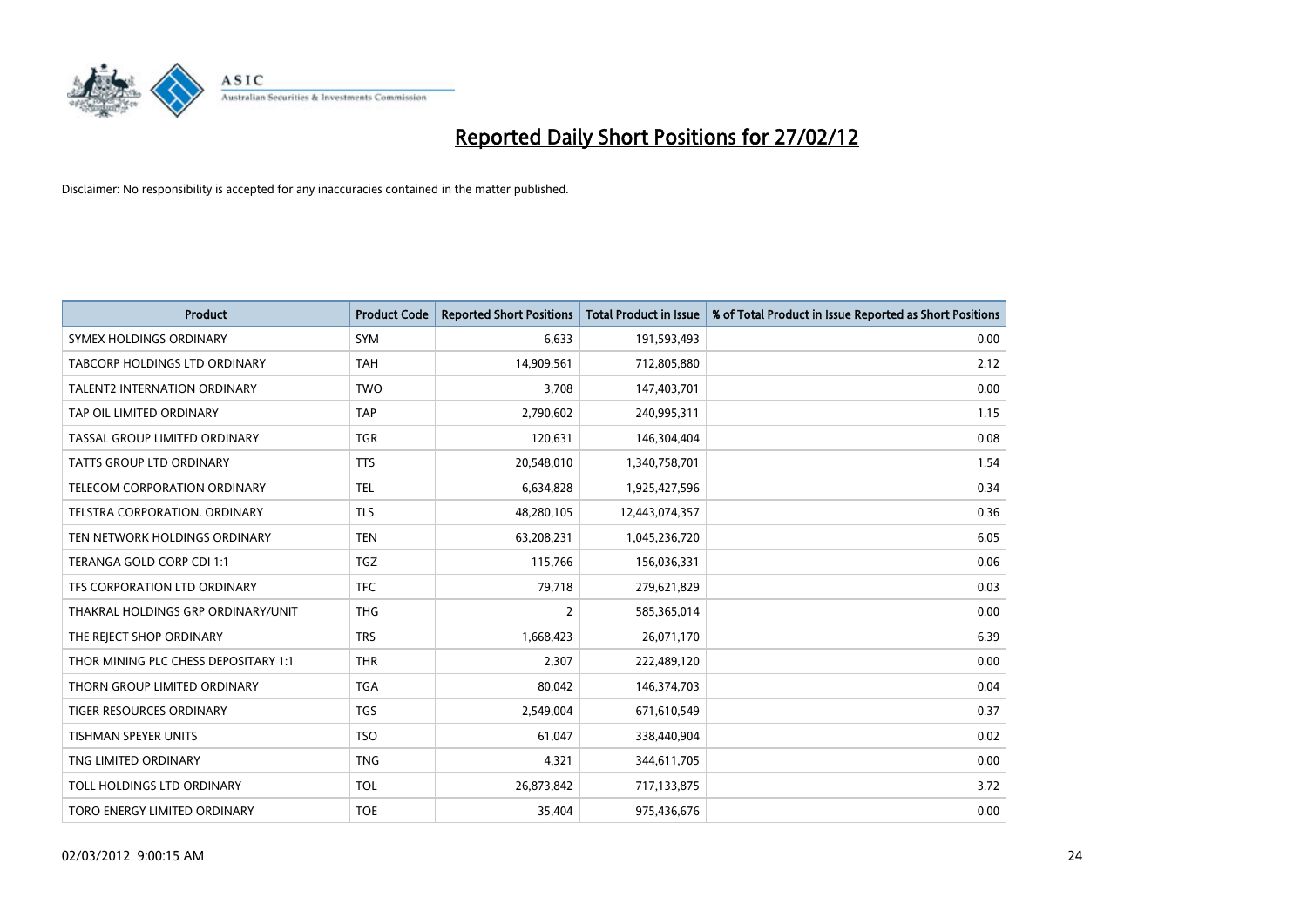

| <b>Product</b>                       | <b>Product Code</b> | <b>Reported Short Positions</b> | <b>Total Product in Issue</b> | % of Total Product in Issue Reported as Short Positions |
|--------------------------------------|---------------------|---------------------------------|-------------------------------|---------------------------------------------------------|
| SYMEX HOLDINGS ORDINARY              | <b>SYM</b>          | 6.633                           | 191,593,493                   | 0.00                                                    |
| TABCORP HOLDINGS LTD ORDINARY        | TAH                 | 14,909,561                      | 712,805,880                   | 2.12                                                    |
| <b>TALENT2 INTERNATION ORDINARY</b>  | <b>TWO</b>          | 3,708                           | 147,403,701                   | 0.00                                                    |
| TAP OIL LIMITED ORDINARY             | <b>TAP</b>          | 2,790,602                       | 240,995,311                   | 1.15                                                    |
| TASSAL GROUP LIMITED ORDINARY        | <b>TGR</b>          | 120,631                         | 146,304,404                   | 0.08                                                    |
| <b>TATTS GROUP LTD ORDINARY</b>      | <b>TTS</b>          | 20,548,010                      | 1,340,758,701                 | 1.54                                                    |
| TELECOM CORPORATION ORDINARY         | <b>TEL</b>          | 6,634,828                       | 1,925,427,596                 | 0.34                                                    |
| TELSTRA CORPORATION. ORDINARY        | <b>TLS</b>          | 48,280,105                      | 12,443,074,357                | 0.36                                                    |
| TEN NETWORK HOLDINGS ORDINARY        | <b>TEN</b>          | 63,208,231                      | 1,045,236,720                 | 6.05                                                    |
| TERANGA GOLD CORP CDI 1:1            | <b>TGZ</b>          | 115,766                         | 156,036,331                   | 0.06                                                    |
| TFS CORPORATION LTD ORDINARY         | <b>TFC</b>          | 79,718                          | 279,621,829                   | 0.03                                                    |
| THAKRAL HOLDINGS GRP ORDINARY/UNIT   | <b>THG</b>          | $\overline{2}$                  | 585,365,014                   | 0.00                                                    |
| THE REJECT SHOP ORDINARY             | <b>TRS</b>          | 1,668,423                       | 26,071,170                    | 6.39                                                    |
| THOR MINING PLC CHESS DEPOSITARY 1:1 | <b>THR</b>          | 2,307                           | 222,489,120                   | 0.00                                                    |
| THORN GROUP LIMITED ORDINARY         | <b>TGA</b>          | 80,042                          | 146,374,703                   | 0.04                                                    |
| TIGER RESOURCES ORDINARY             | <b>TGS</b>          | 2,549,004                       | 671,610,549                   | 0.37                                                    |
| TISHMAN SPEYER UNITS                 | <b>TSO</b>          | 61,047                          | 338,440,904                   | 0.02                                                    |
| TNG LIMITED ORDINARY                 | <b>TNG</b>          | 4,321                           | 344,611,705                   | 0.00                                                    |
| TOLL HOLDINGS LTD ORDINARY           | <b>TOL</b>          | 26,873,842                      | 717,133,875                   | 3.72                                                    |
| TORO ENERGY LIMITED ORDINARY         | <b>TOE</b>          | 35,404                          | 975,436,676                   | 0.00                                                    |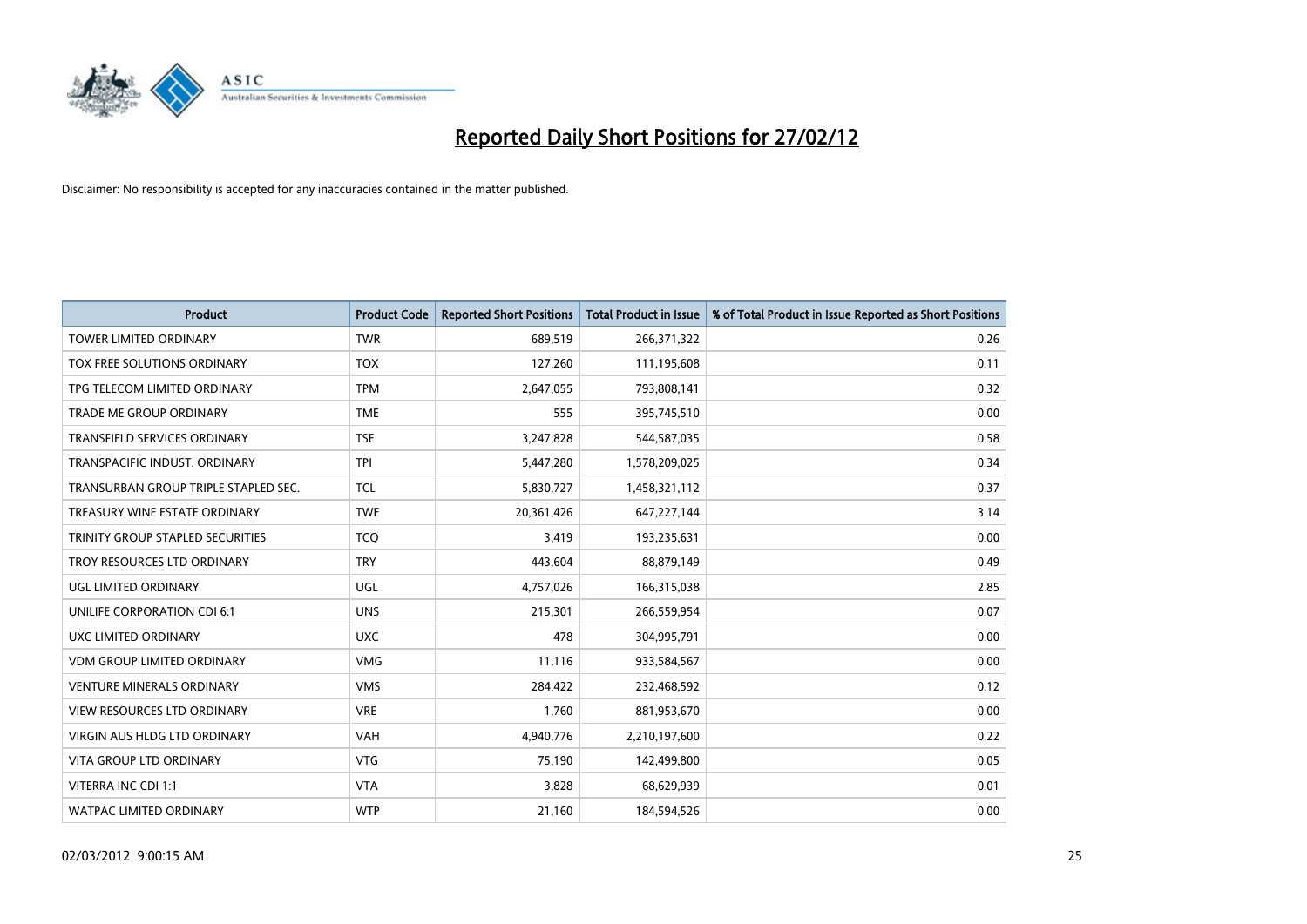

| <b>Product</b>                       | <b>Product Code</b> | <b>Reported Short Positions</b> | <b>Total Product in Issue</b> | % of Total Product in Issue Reported as Short Positions |
|--------------------------------------|---------------------|---------------------------------|-------------------------------|---------------------------------------------------------|
| <b>TOWER LIMITED ORDINARY</b>        | <b>TWR</b>          | 689,519                         | 266,371,322                   | 0.26                                                    |
| TOX FREE SOLUTIONS ORDINARY          | <b>TOX</b>          | 127,260                         | 111,195,608                   | 0.11                                                    |
| TPG TELECOM LIMITED ORDINARY         | <b>TPM</b>          | 2,647,055                       | 793,808,141                   | 0.32                                                    |
| TRADE ME GROUP ORDINARY              | <b>TME</b>          | 555                             | 395,745,510                   | 0.00                                                    |
| <b>TRANSFIELD SERVICES ORDINARY</b>  | <b>TSE</b>          | 3,247,828                       | 544,587,035                   | 0.58                                                    |
| TRANSPACIFIC INDUST, ORDINARY        | <b>TPI</b>          | 5,447,280                       | 1,578,209,025                 | 0.34                                                    |
| TRANSURBAN GROUP TRIPLE STAPLED SEC. | <b>TCL</b>          | 5,830,727                       | 1,458,321,112                 | 0.37                                                    |
| TREASURY WINE ESTATE ORDINARY        | <b>TWE</b>          | 20,361,426                      | 647,227,144                   | 3.14                                                    |
| TRINITY GROUP STAPLED SECURITIES     | <b>TCO</b>          | 3,419                           | 193,235,631                   | 0.00                                                    |
| TROY RESOURCES LTD ORDINARY          | <b>TRY</b>          | 443,604                         | 88,879,149                    | 0.49                                                    |
| UGL LIMITED ORDINARY                 | UGL                 | 4,757,026                       | 166,315,038                   | 2.85                                                    |
| UNILIFE CORPORATION CDI 6:1          | <b>UNS</b>          | 215,301                         | 266,559,954                   | 0.07                                                    |
| UXC LIMITED ORDINARY                 | <b>UXC</b>          | 478                             | 304,995,791                   | 0.00                                                    |
| <b>VDM GROUP LIMITED ORDINARY</b>    | <b>VMG</b>          | 11,116                          | 933,584,567                   | 0.00                                                    |
| <b>VENTURE MINERALS ORDINARY</b>     | <b>VMS</b>          | 284,422                         | 232,468,592                   | 0.12                                                    |
| <b>VIEW RESOURCES LTD ORDINARY</b>   | <b>VRE</b>          | 1,760                           | 881,953,670                   | 0.00                                                    |
| VIRGIN AUS HLDG LTD ORDINARY         | VAH                 | 4,940,776                       | 2,210,197,600                 | 0.22                                                    |
| VITA GROUP LTD ORDINARY              | <b>VTG</b>          | 75,190                          | 142,499,800                   | 0.05                                                    |
| VITERRA INC CDI 1:1                  | <b>VTA</b>          | 3,828                           | 68,629,939                    | 0.01                                                    |
| <b>WATPAC LIMITED ORDINARY</b>       | <b>WTP</b>          | 21,160                          | 184,594,526                   | 0.00                                                    |